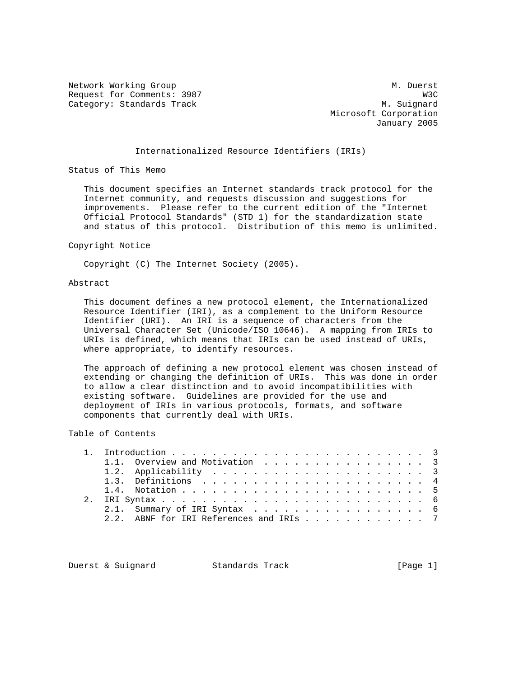Network Working Group Methods and M. Duerst Request for Comments: 3987 W3C Category: Standards Track M. Suignard

 Microsoft Corporation January 2005

# Internationalized Resource Identifiers (IRIs)

Status of This Memo

 This document specifies an Internet standards track protocol for the Internet community, and requests discussion and suggestions for improvements. Please refer to the current edition of the "Internet Official Protocol Standards" (STD 1) for the standardization state and status of this protocol. Distribution of this memo is unlimited.

#### Copyright Notice

Copyright (C) The Internet Society (2005).

#### Abstract

 This document defines a new protocol element, the Internationalized Resource Identifier (IRI), as a complement to the Uniform Resource Identifier (URI). An IRI is a sequence of characters from the Universal Character Set (Unicode/ISO 10646). A mapping from IRIs to URIs is defined, which means that IRIs can be used instead of URIs, where appropriate, to identify resources.

 The approach of defining a new protocol element was chosen instead of extending or changing the definition of URIs. This was done in order to allow a clear distinction and to avoid incompatibilities with existing software. Guidelines are provided for the use and deployment of IRIs in various protocols, formats, and software components that currently deal with URIs.

### Table of Contents

|  | 1.1. Overview and Motivation 3          |  |  |  |
|--|-----------------------------------------|--|--|--|
|  |                                         |  |  |  |
|  |                                         |  |  |  |
|  |                                         |  |  |  |
|  |                                         |  |  |  |
|  | 2.1. Summary of IRI Syntax 6            |  |  |  |
|  | 2.2. ABNF for IRI References and IRIs 7 |  |  |  |
|  |                                         |  |  |  |

Duerst & Suignard Standards Track [Page 1]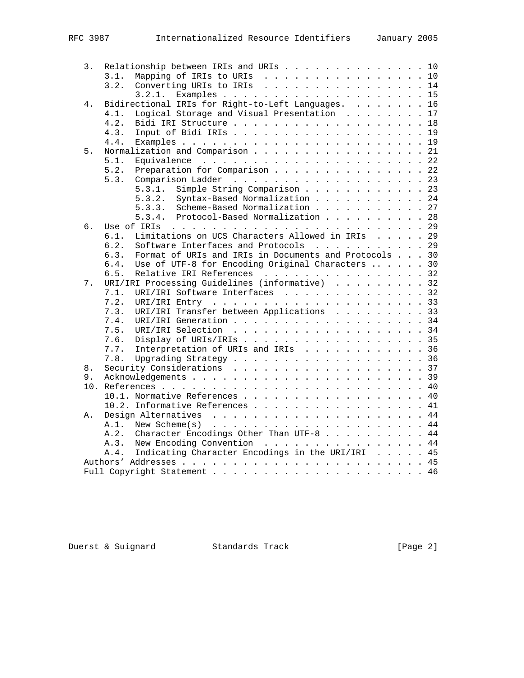| 3. |      | Relationship between IRIs and URIs 10                 |  |  |  |
|----|------|-------------------------------------------------------|--|--|--|
|    | 3.1. | Mapping of IRIs to URIs 10                            |  |  |  |
|    | 3.2. | Converting URIs to IRIs 14                            |  |  |  |
|    |      | 3.2.1.                                                |  |  |  |
| 4. |      | Bidirectional IRIs for Right-to-Left Languages. 16    |  |  |  |
|    | 4.1. | Logical Storage and Visual Presentation 17            |  |  |  |
|    | 4.2. | Bidi IRI Structure 18                                 |  |  |  |
|    | 4.3. | Input of Bidi IRIs 19                                 |  |  |  |
|    | 4.4. |                                                       |  |  |  |
| 5. |      | Normalization and Comparison 21                       |  |  |  |
|    | 5.1. |                                                       |  |  |  |
|    | 5.2. | Preparation for Comparison 22                         |  |  |  |
|    | 5.3. | Comparison Ladder 23                                  |  |  |  |
|    |      | Simple String Comparison 23<br>5.3.1.                 |  |  |  |
|    |      | 5.3.2.<br>Syntax-Based Normalization 24               |  |  |  |
|    |      | Scheme-Based Normalization 27<br>5.3.3.               |  |  |  |
|    |      | Protocol-Based Normalization 28<br>5.3.4.             |  |  |  |
| б. |      |                                                       |  |  |  |
|    | 6.1. | Limitations on UCS Characters Allowed in IRIs 29      |  |  |  |
|    | 6.2. | Software Interfaces and Protocols 29                  |  |  |  |
|    |      |                                                       |  |  |  |
|    | 6.3. | Format of URIs and IRIs in Documents and Protocols 30 |  |  |  |
|    | 6.4. | Use of UTF-8 for Encoding Original Characters  30     |  |  |  |
|    | 6.5. | Relative IRI References 32                            |  |  |  |
| 7. |      | URI/IRI Processing Guidelines (informative) 32        |  |  |  |
|    | 7.1. | URI/IRI Software Interfaces 32                        |  |  |  |
|    | 7.2. | URI/IRI Entry $\ldots$ , 33                           |  |  |  |
|    | 7.3. | URI/IRI Transfer between Applications 33              |  |  |  |
|    | 7.4. | URI/IRI Generation 34                                 |  |  |  |
|    | 7.5. | URI/IRI Selection 34                                  |  |  |  |
|    | 7.6. | Display of URIs/IRIs 35                               |  |  |  |
|    | 7.7. | Interpretation of URIs and IRIs 36                    |  |  |  |
|    | 7.8. |                                                       |  |  |  |
| 8. |      | Security Considerations 37                            |  |  |  |
| 9. |      |                                                       |  |  |  |
|    |      |                                                       |  |  |  |
|    |      | 10.1. Normative References 40                         |  |  |  |
|    |      | 10.2. Informative References 41                       |  |  |  |
| Α. |      |                                                       |  |  |  |
|    | A.1. | New Scheme $(s)$ 44                                   |  |  |  |
|    | A.2. | Character Encodings Other Than UTF-8 44               |  |  |  |
|    | A.3. | New Encoding Convention 44                            |  |  |  |
|    | A.4. | Indicating Character Encodings in the URI/IRI 45      |  |  |  |
|    |      |                                                       |  |  |  |
|    |      |                                                       |  |  |  |
|    |      |                                                       |  |  |  |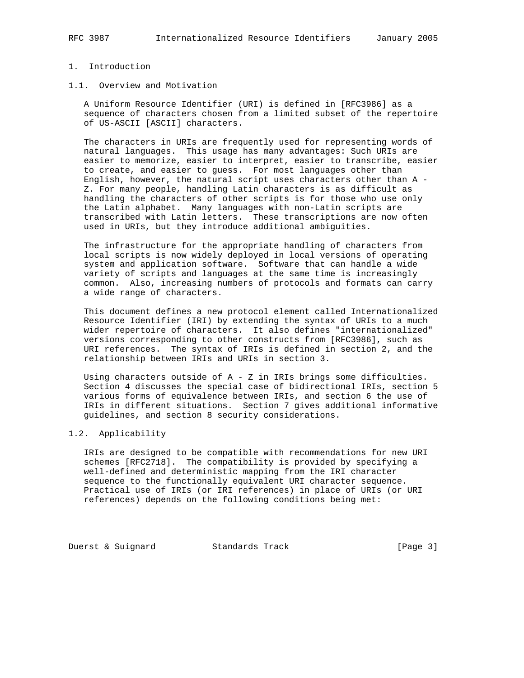# 1. Introduction

## 1.1. Overview and Motivation

 A Uniform Resource Identifier (URI) is defined in [RFC3986] as a sequence of characters chosen from a limited subset of the repertoire of US-ASCII [ASCII] characters.

 The characters in URIs are frequently used for representing words of natural languages. This usage has many advantages: Such URIs are easier to memorize, easier to interpret, easier to transcribe, easier to create, and easier to guess. For most languages other than English, however, the natural script uses characters other than A - Z. For many people, handling Latin characters is as difficult as handling the characters of other scripts is for those who use only the Latin alphabet. Many languages with non-Latin scripts are transcribed with Latin letters. These transcriptions are now often used in URIs, but they introduce additional ambiguities.

 The infrastructure for the appropriate handling of characters from local scripts is now widely deployed in local versions of operating system and application software. Software that can handle a wide variety of scripts and languages at the same time is increasingly common. Also, increasing numbers of protocols and formats can carry a wide range of characters.

 This document defines a new protocol element called Internationalized Resource Identifier (IRI) by extending the syntax of URIs to a much wider repertoire of characters. It also defines "internationalized" versions corresponding to other constructs from [RFC3986], such as URI references. The syntax of IRIs is defined in section 2, and the relationship between IRIs and URIs in section 3.

 Using characters outside of A - Z in IRIs brings some difficulties. Section 4 discusses the special case of bidirectional IRIs, section 5 various forms of equivalence between IRIs, and section 6 the use of IRIs in different situations. Section 7 gives additional informative guidelines, and section 8 security considerations.

## 1.2. Applicability

 IRIs are designed to be compatible with recommendations for new URI schemes [RFC2718]. The compatibility is provided by specifying a well-defined and deterministic mapping from the IRI character sequence to the functionally equivalent URI character sequence. Practical use of IRIs (or IRI references) in place of URIs (or URI references) depends on the following conditions being met:

Duerst & Suignard Standards Track [Page 3]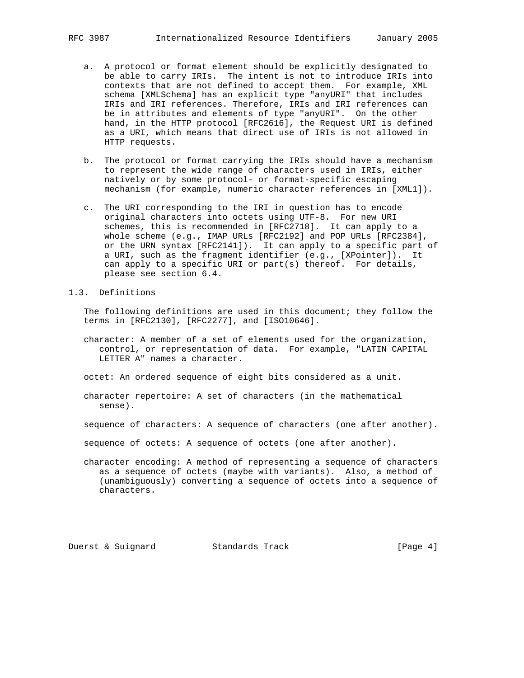- a. A protocol or format element should be explicitly designated to be able to carry IRIs. The intent is not to introduce IRIs into contexts that are not defined to accept them. For example, XML schema [XMLSchema] has an explicit type "anyURI" that includes IRIs and IRI references. Therefore, IRIs and IRI references can be in attributes and elements of type "anyURI". On the other hand, in the HTTP protocol [RFC2616], the Request URI is defined as a URI, which means that direct use of IRIs is not allowed in HTTP requests.
- b. The protocol or format carrying the IRIs should have a mechanism to represent the wide range of characters used in IRIs, either natively or by some protocol- or format-specific escaping mechanism (for example, numeric character references in [XML1]).
- c. The URI corresponding to the IRI in question has to encode original characters into octets using UTF-8. For new URI schemes, this is recommended in [RFC2718]. It can apply to a whole scheme (e.g., IMAP URLs [RFC2192] and POP URLs [RFC2384], or the URN syntax [RFC2141]). It can apply to a specific part of a URI, such as the fragment identifier (e.g., [XPointer]). It can apply to a specific URI or part(s) thereof. For details, please see section 6.4.
- 1.3. Definitions

 The following definitions are used in this document; they follow the terms in [RFC2130], [RFC2277], and [ISO10646].

- character: A member of a set of elements used for the organization, control, or representation of data. For example, "LATIN CAPITAL LETTER A" names a character.
- octet: An ordered sequence of eight bits considered as a unit.
- character repertoire: A set of characters (in the mathematical sense).
- sequence of characters: A sequence of characters (one after another).
- sequence of octets: A sequence of octets (one after another).
- character encoding: A method of representing a sequence of characters as a sequence of octets (maybe with variants). Also, a method of (unambiguously) converting a sequence of octets into a sequence of characters.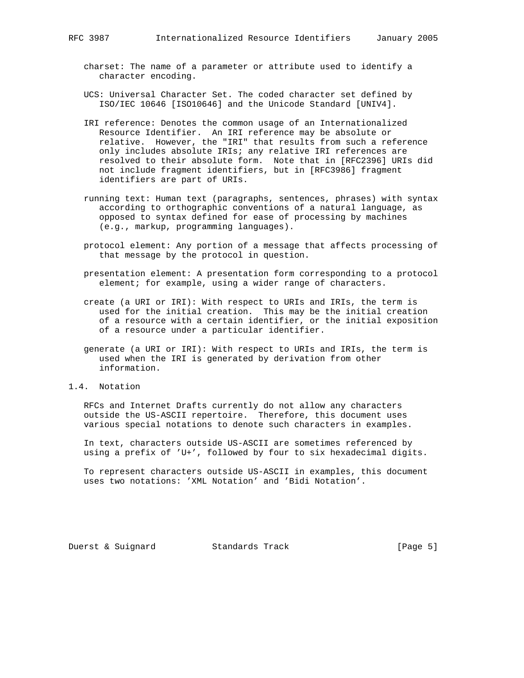- charset: The name of a parameter or attribute used to identify a character encoding.
- UCS: Universal Character Set. The coded character set defined by ISO/IEC 10646 [ISO10646] and the Unicode Standard [UNIV4].
- IRI reference: Denotes the common usage of an Internationalized Resource Identifier. An IRI reference may be absolute or relative. However, the "IRI" that results from such a reference only includes absolute IRIs; any relative IRI references are resolved to their absolute form. Note that in [RFC2396] URIs did not include fragment identifiers, but in [RFC3986] fragment identifiers are part of URIs.
- running text: Human text (paragraphs, sentences, phrases) with syntax according to orthographic conventions of a natural language, as opposed to syntax defined for ease of processing by machines (e.g., markup, programming languages).
- protocol element: Any portion of a message that affects processing of that message by the protocol in question.
- presentation element: A presentation form corresponding to a protocol element; for example, using a wider range of characters.
- create (a URI or IRI): With respect to URIs and IRIs, the term is used for the initial creation. This may be the initial creation of a resource with a certain identifier, or the initial exposition of a resource under a particular identifier.
- generate (a URI or IRI): With respect to URIs and IRIs, the term is used when the IRI is generated by derivation from other information.
- 1.4. Notation

 RFCs and Internet Drafts currently do not allow any characters outside the US-ASCII repertoire. Therefore, this document uses various special notations to denote such characters in examples.

 In text, characters outside US-ASCII are sometimes referenced by using a prefix of 'U+', followed by four to six hexadecimal digits.

 To represent characters outside US-ASCII in examples, this document uses two notations: 'XML Notation' and 'Bidi Notation'.

Duerst & Suignard Standards Track [Page 5]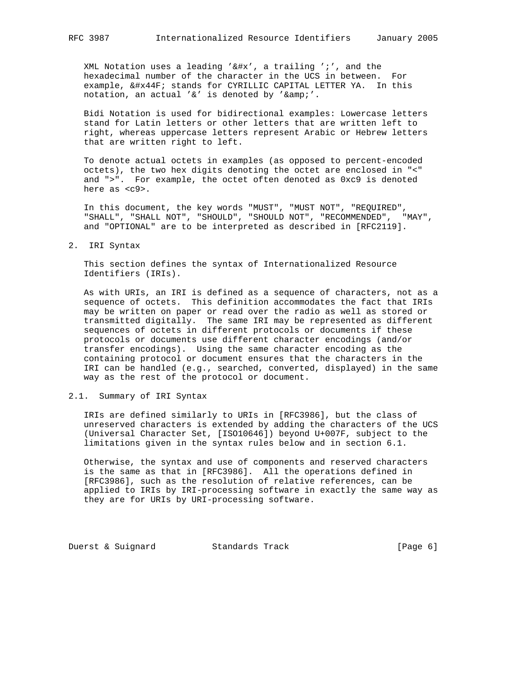XML Notation uses a leading  $k**'$ , a trailing ';', and the hexadecimal number of the character in the UCS in between. For example, я stands for CYRILLIC CAPITAL LETTER YA. In this notation, an actual '&' is denoted by '&'.

 Bidi Notation is used for bidirectional examples: Lowercase letters stand for Latin letters or other letters that are written left to right, whereas uppercase letters represent Arabic or Hebrew letters that are written right to left.

 To denote actual octets in examples (as opposed to percent-encoded octets), the two hex digits denoting the octet are enclosed in "<" and ">". For example, the octet often denoted as 0xc9 is denoted here as <c9>.

 In this document, the key words "MUST", "MUST NOT", "REQUIRED", "SHALL", "SHALL NOT", "SHOULD", "SHOULD NOT", "RECOMMENDED", "MAY", and "OPTIONAL" are to be interpreted as described in [RFC2119].

2. IRI Syntax

 This section defines the syntax of Internationalized Resource Identifiers (IRIs).

 As with URIs, an IRI is defined as a sequence of characters, not as a sequence of octets. This definition accommodates the fact that IRIs may be written on paper or read over the radio as well as stored or transmitted digitally. The same IRI may be represented as different sequences of octets in different protocols or documents if these protocols or documents use different character encodings (and/or transfer encodings). Using the same character encoding as the containing protocol or document ensures that the characters in the IRI can be handled (e.g., searched, converted, displayed) in the same way as the rest of the protocol or document.

2.1. Summary of IRI Syntax

 IRIs are defined similarly to URIs in [RFC3986], but the class of unreserved characters is extended by adding the characters of the UCS (Universal Character Set, [ISO10646]) beyond U+007F, subject to the limitations given in the syntax rules below and in section 6.1.

 Otherwise, the syntax and use of components and reserved characters is the same as that in [RFC3986]. All the operations defined in [RFC3986], such as the resolution of relative references, can be applied to IRIs by IRI-processing software in exactly the same way as they are for URIs by URI-processing software.

Duerst & Suignard Standards Track [Page 6]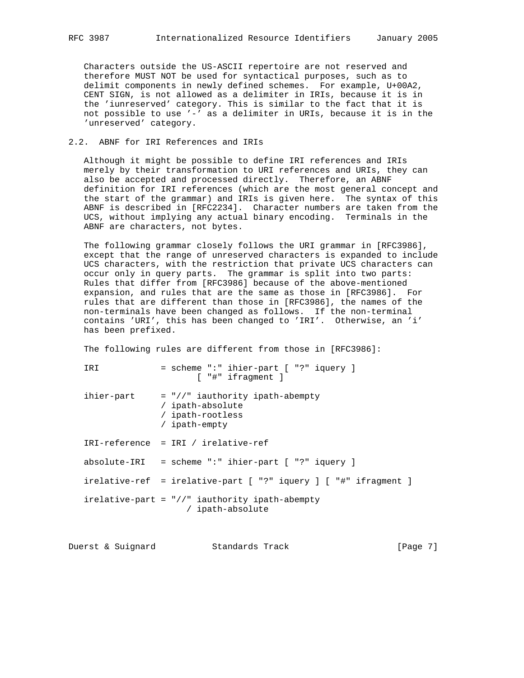Characters outside the US-ASCII repertoire are not reserved and therefore MUST NOT be used for syntactical purposes, such as to delimit components in newly defined schemes. For example, U+00A2, CENT SIGN, is not allowed as a delimiter in IRIs, because it is in the 'iunreserved' category. This is similar to the fact that it is not possible to use '-' as a delimiter in URIs, because it is in the 'unreserved' category.

### 2.2. ABNF for IRI References and IRIs

 Although it might be possible to define IRI references and IRIs merely by their transformation to URI references and URIs, they can also be accepted and processed directly. Therefore, an ABNF definition for IRI references (which are the most general concept and the start of the grammar) and IRIs is given here. The syntax of this ABNF is described in [RFC2234]. Character numbers are taken from the UCS, without implying any actual binary encoding. Terminals in the ABNF are characters, not bytes.

 The following grammar closely follows the URI grammar in [RFC3986], except that the range of unreserved characters is expanded to include UCS characters, with the restriction that private UCS characters can occur only in query parts. The grammar is split into two parts: Rules that differ from [RFC3986] because of the above-mentioned expansion, and rules that are the same as those in [RFC3986]. For rules that are different than those in [RFC3986], the names of the non-terminals have been changed as follows. If the non-terminal contains 'URI', this has been changed to 'IRI'. Otherwise, an 'i' has been prefixed.

The following rules are different from those in [RFC3986]:

IRI = scheme ":" ihier-part [ "?" iquery ] [ "#" ifragment ]

 $i$ hier-part = "//" iauthority ipath-abempty / ipath-absolute / ipath-rootless / ipath-empty IRI-reference = IRI / irelative-ref absolute-IRI = scheme ":" ihier-part [ "?" iquery ] irelative-ref = irelative-part [ "?" iquery ] [ "#" ifragment ]

 irelative-part = "//" iauthority ipath-abempty / ipath-absolute

Duerst & Suignard Standards Track [Page 7]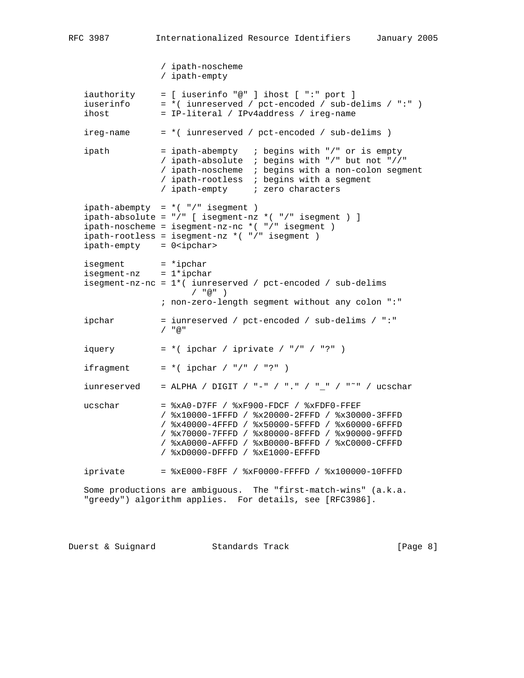```
 / ipath-noscheme
                  / ipath-empty
 iauthority = [ iuserinfo "@" ] ihost [ ":" port ]
 iuserinfo = *( iunreserved / pct-encoded / sub-delims / ":" )
  \frac{1}{1} iuserinfo = *( iunreserved / pct-encoded / sub-dinost = IP-literal / IPv4address / ireg-name
   ireg-name = *( iunreserved / pct-encoded / sub-delims )
  ipath = ipath-abempty ; begins with "/" or is empty
                  / ipath-absolute ; begins with "/" but not "//"
                  / ipath-noscheme ; begins with a non-colon segment
                  / ipath-rootless ; begins with a segment
                   / ipath-empty ; zero characters
  ipath-abempty = *( "/" isegment )
   ipath-absolute = "/" [ isegment-nz *( "/" isegment ) ]
  ipath-noscheme = isegment-nz-nc *( "/" isegment)
   ipath-rootless = isegment-nz *( "/" isegment )
  ipath-empty = 0<ipchar>
  isegment = *ipchar
  isegment-nz = 1*ipchar isegment-nz-nc = 1*( iunreserved / pct-encoded / sub-delims
                        / "@" ) ; non-zero-length segment without any colon ":"
   ipchar = iunreserved / pct-encoded / sub-delims / ":"
                  / "@"
  iquery = * ( ipchar / iprivate / "/" / "?" )
  ifragment = *( ipchar / "/" / "?" )
  iunreserved = ALPHA / DIGIT / "-" / "." / "-" / "<sup>~</sup>" / ucschar
  ucschar = xA0-D7FF / xF900-FDCF / xFDF0-FFEF / %x10000-1FFFD / %x20000-2FFFD / %x30000-3FFFD
                  / %x40000-4FFFD / %x50000-5FFFD / %x60000-6FFFD
                  / %x70000-7FFFD / %x80000-8FFFD / %x90000-9FFFD
                  / %xA0000-AFFFD / %xB0000-BFFFD / %xC0000-CFFFD
                  / %xD0000-DFFFD / %xE1000-EFFFD
  iprivate = <math>*xE000-F8FF / *xF0000-FFFFD / *x100000-10FFFD</math> Some productions are ambiguous. The "first-match-wins" (a.k.a.
   "greedy") algorithm applies. For details, see [RFC3986].
```
Duerst & Suignard Standards Track [Page 8]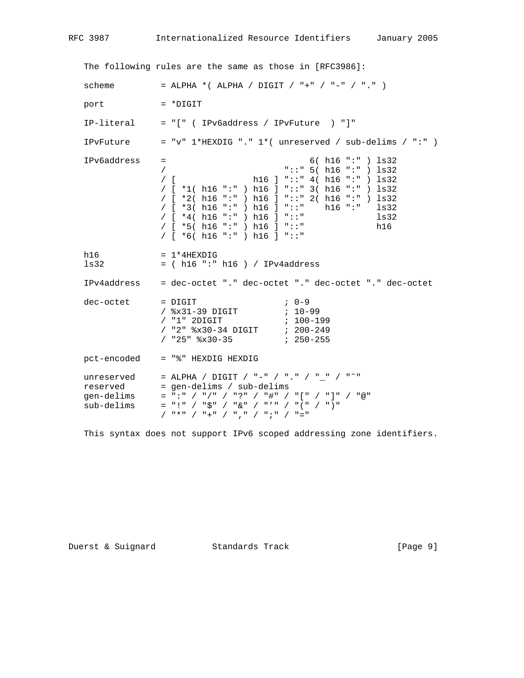The following rules are the same as those in [RFC3986]: scheme  $=$  ALPHA \*( ALPHA / DIGIT / "+" / "-" / "." ) port = \*DIGIT IP-literal = "[" ( IPv6address / IPvFuture ) "]" IPvFuture = "v"  $1*$ HEXDIG "."  $1*$  (unreserved / sub-delims / ":" ) IPv6address = 6( h16 ":" ) ls32 / "::" 5( h16 ":" ) ls32 h16 ] "::" 4( h16 ":" ) ls32 / [ \*1( h16 ":" ) h16 ] "::" 3( h16 ":" ) ls32 / [ \*2( h16 ":" ) h16 ] "::" 2( h16 ":" ) ls32 / [ \*3( h16 ":" ) h16 ] "::" h16 ":" ls32 / [ \*4( h16 ":" ) h16 ] "::" ls32 / [ \*5( h16 ":" ) h16 ] "::" h16 / [ \*6( h16 ":" ) h16 ] "::" h16  $= 1*4$ HEXDIG ls32 = ( h16 ":" h16 ) / IPv4address IPv4address = dec-octet "." dec-octet "." dec-octet "." dec-octet dec-octet = DIGIT <br>
/  $x31-39$  DIGIT ; 0-99<br>
/  $x31-39$  DIGIT ; 10-99 / %x31-39 DIGIT ; 10-99 / "1" 2DIGIT ; 100-199 / "2" %x30-34 DIGIT ; 200-249 / "25" %x30-35 ; 250-255 pct-encoded = "%" HEXDIG HEXDIG unreserved = ALPHA / DIGIT / "-" / "." / "\_" / "<sup>~</sup>" reserved = gen-delims / sub-delims gen-delims = ":" / "/" / "?" / "#" / "[" / "]" / "@" sub-delims = "!" / "\$" / "&" / "'" / "(" / ")" / "\*" / "+" / "," / ";" / "="

This syntax does not support IPv6 scoped addressing zone identifiers.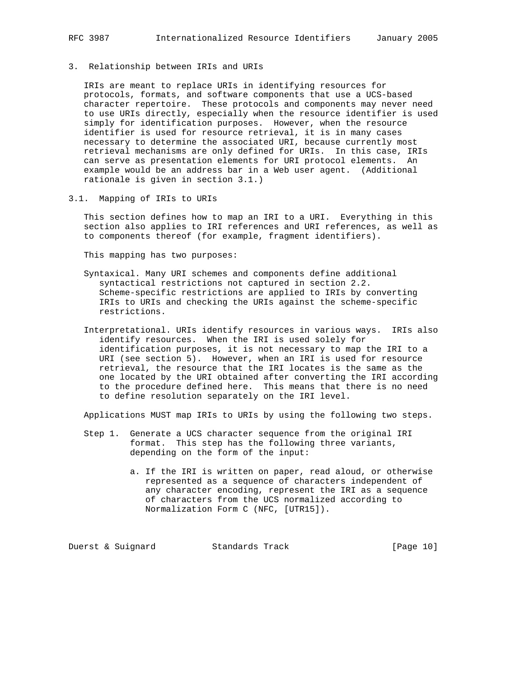3. Relationship between IRIs and URIs

 IRIs are meant to replace URIs in identifying resources for protocols, formats, and software components that use a UCS-based character repertoire. These protocols and components may never need to use URIs directly, especially when the resource identifier is used simply for identification purposes. However, when the resource identifier is used for resource retrieval, it is in many cases necessary to determine the associated URI, because currently most retrieval mechanisms are only defined for URIs. In this case, IRIs can serve as presentation elements for URI protocol elements. An example would be an address bar in a Web user agent. (Additional rationale is given in section 3.1.)

3.1. Mapping of IRIs to URIs

 This section defines how to map an IRI to a URI. Everything in this section also applies to IRI references and URI references, as well as to components thereof (for example, fragment identifiers).

This mapping has two purposes:

- Syntaxical. Many URI schemes and components define additional syntactical restrictions not captured in section 2.2. Scheme-specific restrictions are applied to IRIs by converting IRIs to URIs and checking the URIs against the scheme-specific restrictions.
- Interpretational. URIs identify resources in various ways. IRIs also identify resources. When the IRI is used solely for identification purposes, it is not necessary to map the IRI to a URI (see section 5). However, when an IRI is used for resource retrieval, the resource that the IRI locates is the same as the one located by the URI obtained after converting the IRI according to the procedure defined here. This means that there is no need to define resolution separately on the IRI level.

Applications MUST map IRIs to URIs by using the following two steps.

- Step 1. Generate a UCS character sequence from the original IRI format. This step has the following three variants, depending on the form of the input:
	- a. If the IRI is written on paper, read aloud, or otherwise represented as a sequence of characters independent of any character encoding, represent the IRI as a sequence of characters from the UCS normalized according to Normalization Form C (NFC, [UTR15]).

Duerst & Suignard Standards Track [Page 10]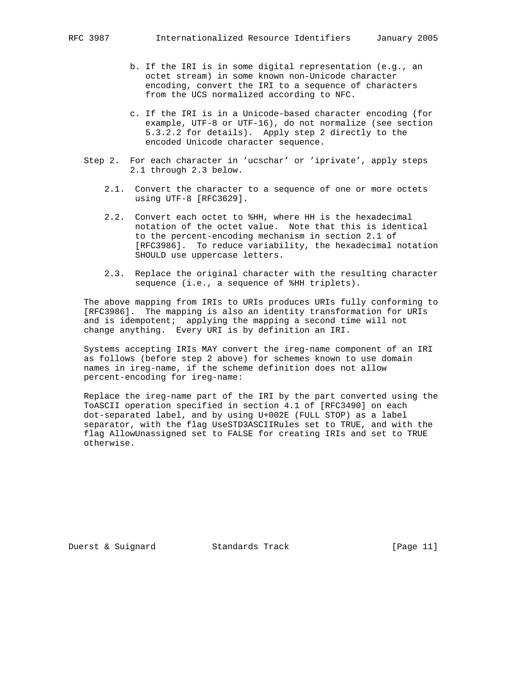- b. If the IRI is in some digital representation (e.g., an octet stream) in some known non-Unicode character encoding, convert the IRI to a sequence of characters from the UCS normalized according to NFC.
- c. If the IRI is in a Unicode-based character encoding (for example, UTF-8 or UTF-16), do not normalize (see section 5.3.2.2 for details). Apply step 2 directly to the encoded Unicode character sequence.
- Step 2. For each character in 'ucschar' or 'iprivate', apply steps 2.1 through 2.3 below.
	- 2.1. Convert the character to a sequence of one or more octets using UTF-8 [RFC3629].
	- 2.2. Convert each octet to %HH, where HH is the hexadecimal notation of the octet value. Note that this is identical to the percent-encoding mechanism in section 2.1 of [RFC3986]. To reduce variability, the hexadecimal notation SHOULD use uppercase letters.
	- 2.3. Replace the original character with the resulting character sequence (i.e., a sequence of %HH triplets).

 The above mapping from IRIs to URIs produces URIs fully conforming to [RFC3986]. The mapping is also an identity transformation for URIs and is idempotent; applying the mapping a second time will not change anything. Every URI is by definition an IRI.

 Systems accepting IRIs MAY convert the ireg-name component of an IRI as follows (before step 2 above) for schemes known to use domain names in ireg-name, if the scheme definition does not allow percent-encoding for ireg-name:

 Replace the ireg-name part of the IRI by the part converted using the ToASCII operation specified in section 4.1 of [RFC3490] on each dot-separated label, and by using U+002E (FULL STOP) as a label separator, with the flag UseSTD3ASCIIRules set to TRUE, and with the flag AllowUnassigned set to FALSE for creating IRIs and set to TRUE otherwise.

Duerst & Suignard Standards Track [Page 11]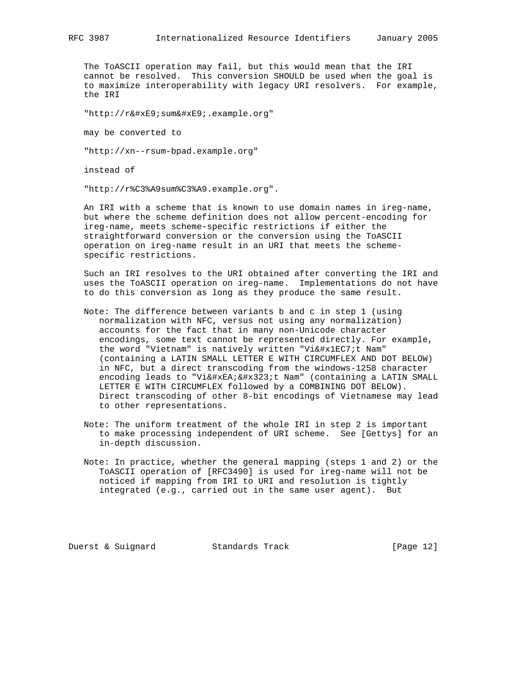The ToASCII operation may fail, but this would mean that the IRI cannot be resolved. This conversion SHOULD be used when the goal is to maximize interoperability with legacy URI resolvers. For example, the IRI

"http://résumé.example.org"

may be converted to

"http://xn--rsum-bpad.example.org"

instead of

"http://r%C3%A9sum%C3%A9.example.org".

 An IRI with a scheme that is known to use domain names in ireg-name, but where the scheme definition does not allow percent-encoding for ireg-name, meets scheme-specific restrictions if either the straightforward conversion or the conversion using the ToASCII operation on ireg-name result in an URI that meets the scheme specific restrictions.

 Such an IRI resolves to the URI obtained after converting the IRI and uses the ToASCII operation on ireg-name. Implementations do not have to do this conversion as long as they produce the same result.

- Note: The difference between variants b and c in step 1 (using normalization with NFC, versus not using any normalization) accounts for the fact that in many non-Unicode character encodings, some text cannot be represented directly. For example, the word "Vietnam" is natively written "Việt Nam" (containing a LATIN SMALL LETTER E WITH CIRCUMFLEX AND DOT BELOW) in NFC, but a direct transcoding from the windows-1258 character encoding leads to "Viê ̣ t Nam" (containing a LATIN SMALL LETTER E WITH CIRCUMFLEX followed by a COMBINING DOT BELOW). Direct transcoding of other 8-bit encodings of Vietnamese may lead to other representations.
- Note: The uniform treatment of the whole IRI in step 2 is important to make processing independent of URI scheme. See [Gettys] for an in-depth discussion.
- Note: In practice, whether the general mapping (steps 1 and 2) or the ToASCII operation of [RFC3490] is used for ireg-name will not be noticed if mapping from IRI to URI and resolution is tightly integrated (e.g., carried out in the same user agent). But

Duerst & Suignard Standards Track [Page 12]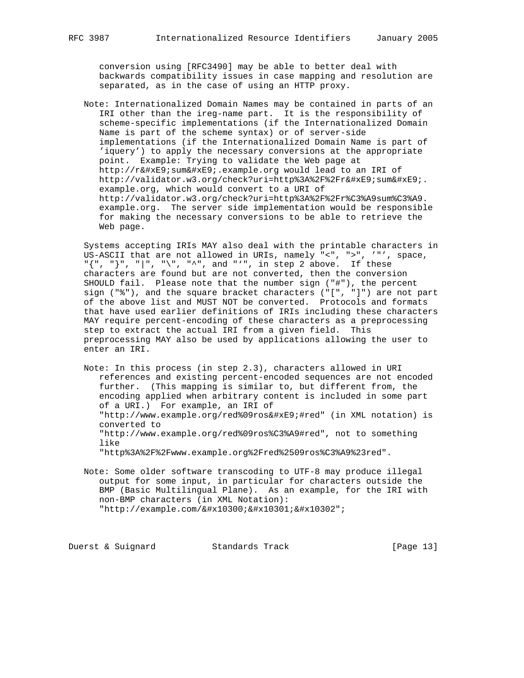conversion using [RFC3490] may be able to better deal with backwards compatibility issues in case mapping and resolution are separated, as in the case of using an HTTP proxy.

 Note: Internationalized Domain Names may be contained in parts of an IRI other than the ireg-name part. It is the responsibility of scheme-specific implementations (if the Internationalized Domain Name is part of the scheme syntax) or of server-side implementations (if the Internationalized Domain Name is part of 'iquery') to apply the necessary conversions at the appropriate point. Example: Trying to validate the Web page at http://résumé.example.org would lead to an IRI of http://validator.w3.org/check?uri=http%3A%2F%2Frésumé. example.org, which would convert to a URI of http://validator.w3.org/check?uri=http%3A%2F%2Fr%C3%A9sum%C3%A9. example.org. The server side implementation would be responsible for making the necessary conversions to be able to retrieve the Web page.

 Systems accepting IRIs MAY also deal with the printable characters in US-ASCII that are not allowed in URIs, namely "<", ">", '"', space, "{", "}", "|", "\", "^", and "'", in step 2 above. If these characters are found but are not converted, then the conversion SHOULD fail. Please note that the number sign ("#"), the percent sign ("%"), and the square bracket characters ("[", "]") are not part of the above list and MUST NOT be converted. Protocols and formats that have used earlier definitions of IRIs including these characters MAY require percent-encoding of these characters as a preprocessing step to extract the actual IRI from a given field. This preprocessing MAY also be used by applications allowing the user to enter an IRI.

 Note: In this process (in step 2.3), characters allowed in URI references and existing percent-encoded sequences are not encoded further. (This mapping is similar to, but different from, the encoding applied when arbitrary content is included in some part of a URI.) For example, an IRI of "http://www.example.org/red%09rosé#red" (in XML notation) is converted to "http://www.example.org/red%09ros%C3%A9#red", not to something like "http%3A%2F%2Fwww.example.org%2Fred%2509ros%C3%A9%23red".

 Note: Some older software transcoding to UTF-8 may produce illegal output for some input, in particular for characters outside the BMP (Basic Multilingual Plane). As an example, for the IRI with non-BMP characters (in XML Notation): "http://example.com/𐌀𐌁&#x10302";

Duerst & Suignard Standards Track [Page 13]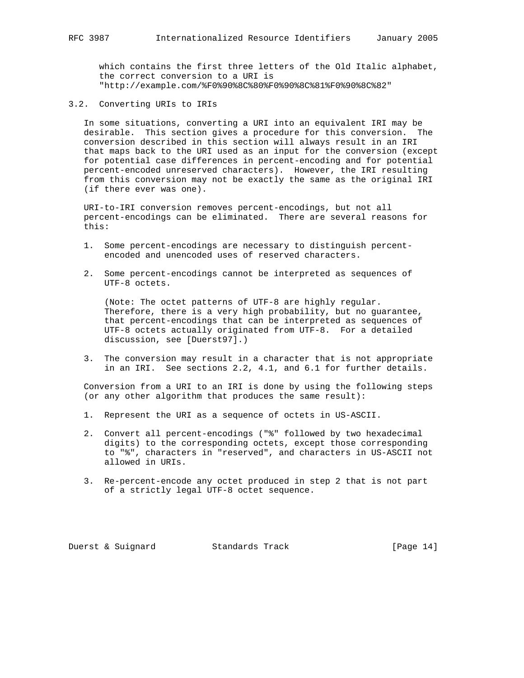which contains the first three letters of the Old Italic alphabet, the correct conversion to a URI is "http://example.com/%F0%90%8C%80%F0%90%8C%81%F0%90%8C%82"

3.2. Converting URIs to IRIs

 In some situations, converting a URI into an equivalent IRI may be desirable. This section gives a procedure for this conversion. The conversion described in this section will always result in an IRI that maps back to the URI used as an input for the conversion (except for potential case differences in percent-encoding and for potential percent-encoded unreserved characters). However, the IRI resulting from this conversion may not be exactly the same as the original IRI (if there ever was one).

 URI-to-IRI conversion removes percent-encodings, but not all percent-encodings can be eliminated. There are several reasons for this:

- 1. Some percent-encodings are necessary to distinguish percent encoded and unencoded uses of reserved characters.
- 2. Some percent-encodings cannot be interpreted as sequences of UTF-8 octets.

 (Note: The octet patterns of UTF-8 are highly regular. Therefore, there is a very high probability, but no guarantee, that percent-encodings that can be interpreted as sequences of UTF-8 octets actually originated from UTF-8. For a detailed discussion, see [Duerst97].)

 3. The conversion may result in a character that is not appropriate in an IRI. See sections 2.2, 4.1, and 6.1 for further details.

 Conversion from a URI to an IRI is done by using the following steps (or any other algorithm that produces the same result):

- 1. Represent the URI as a sequence of octets in US-ASCII.
- 2. Convert all percent-encodings ("%" followed by two hexadecimal digits) to the corresponding octets, except those corresponding to "%", characters in "reserved", and characters in US-ASCII not allowed in URIs.
- 3. Re-percent-encode any octet produced in step 2 that is not part of a strictly legal UTF-8 octet sequence.

Duerst & Suignard Standards Track [Page 14]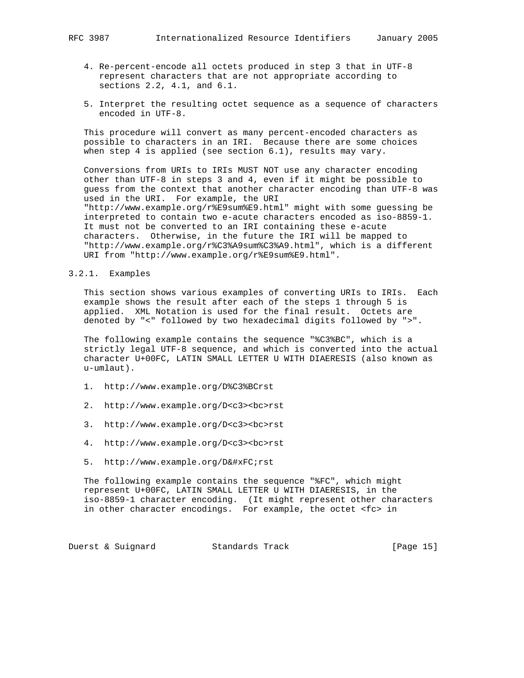- 4. Re-percent-encode all octets produced in step 3 that in UTF-8 represent characters that are not appropriate according to sections 2.2, 4.1, and 6.1.
- 5. Interpret the resulting octet sequence as a sequence of characters encoded in UTF-8.

 This procedure will convert as many percent-encoded characters as possible to characters in an IRI. Because there are some choices when step 4 is applied (see section 6.1), results may vary.

 Conversions from URIs to IRIs MUST NOT use any character encoding other than UTF-8 in steps 3 and 4, even if it might be possible to guess from the context that another character encoding than UTF-8 was used in the URI. For example, the URI "http://www.example.org/r%E9sum%E9.html" might with some guessing be interpreted to contain two e-acute characters encoded as iso-8859-1. It must not be converted to an IRI containing these e-acute characters. Otherwise, in the future the IRI will be mapped to "http://www.example.org/r%C3%A9sum%C3%A9.html", which is a different URI from "http://www.example.org/r%E9sum%E9.html".

#### 3.2.1. Examples

 This section shows various examples of converting URIs to IRIs. Each example shows the result after each of the steps 1 through 5 is applied. XML Notation is used for the final result. Octets are denoted by "<" followed by two hexadecimal digits followed by ">".

 The following example contains the sequence "%C3%BC", which is a strictly legal UTF-8 sequence, and which is converted into the actual character U+00FC, LATIN SMALL LETTER U WITH DIAERESIS (also known as u-umlaut).

- 1. http://www.example.org/D%C3%BCrst
- 2. http://www.example.org/D<c3><bc>rst
- 3. http://www.example.org/D<c3><bc>rst
- 4. http://www.example.org/D<c3><bc>rst
- 5. http://www.example.org/Dürst

 The following example contains the sequence "%FC", which might represent U+00FC, LATIN SMALL LETTER U WITH DIAERESIS, in the iso-8859-1 character encoding. (It might represent other characters in other character encodings. For example, the octet <fc> in

Duerst & Suignard Standards Track [Page 15]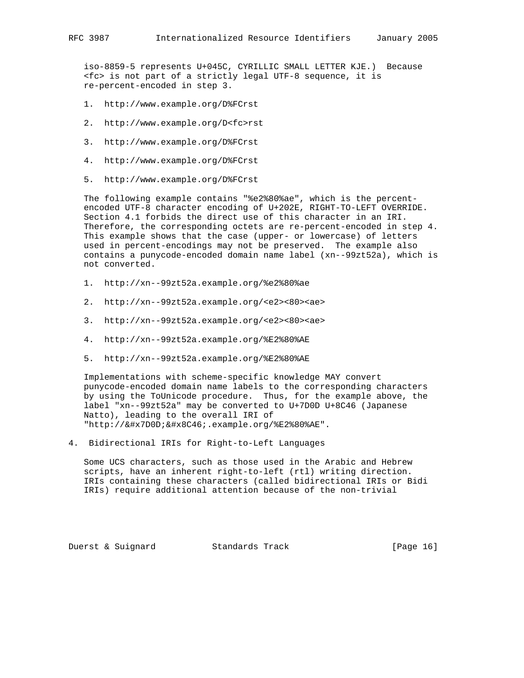iso-8859-5 represents U+045C, CYRILLIC SMALL LETTER KJE.) Because <fc> is not part of a strictly legal UTF-8 sequence, it is re-percent-encoded in step 3.

- 1. http://www.example.org/D%FCrst
- 2. http://www.example.org/D<fc>rst
- 3. http://www.example.org/D%FCrst
- 4. http://www.example.org/D%FCrst
- 5. http://www.example.org/D%FCrst

 The following example contains "%e2%80%ae", which is the percent encoded UTF-8 character encoding of U+202E, RIGHT-TO-LEFT OVERRIDE. Section 4.1 forbids the direct use of this character in an IRI. Therefore, the corresponding octets are re-percent-encoded in step 4. This example shows that the case (upper- or lowercase) of letters used in percent-encodings may not be preserved. The example also contains a punycode-encoded domain name label (xn--99zt52a), which is not converted.

- 1. http://xn--99zt52a.example.org/%e2%80%ae
- 2. http://xn--99zt52a.example.org/<e2><80><ae>
- 3. http://xn--99zt52a.example.org/<e2><80><ae>
- 4. http://xn--99zt52a.example.org/%E2%80%AE
- 5. http://xn--99zt52a.example.org/%E2%80%AE

 Implementations with scheme-specific knowledge MAY convert punycode-encoded domain name labels to the corresponding characters by using the ToUnicode procedure. Thus, for the example above, the label "xn--99zt52a" may be converted to U+7D0D U+8C46 (Japanese Natto), leading to the overall IRI of "http://納豆.example.org/%E2%80%AE".

4. Bidirectional IRIs for Right-to-Left Languages

 Some UCS characters, such as those used in the Arabic and Hebrew scripts, have an inherent right-to-left (rtl) writing direction. IRIs containing these characters (called bidirectional IRIs or Bidi IRIs) require additional attention because of the non-trivial

Duerst & Suignard Standards Track [Page 16]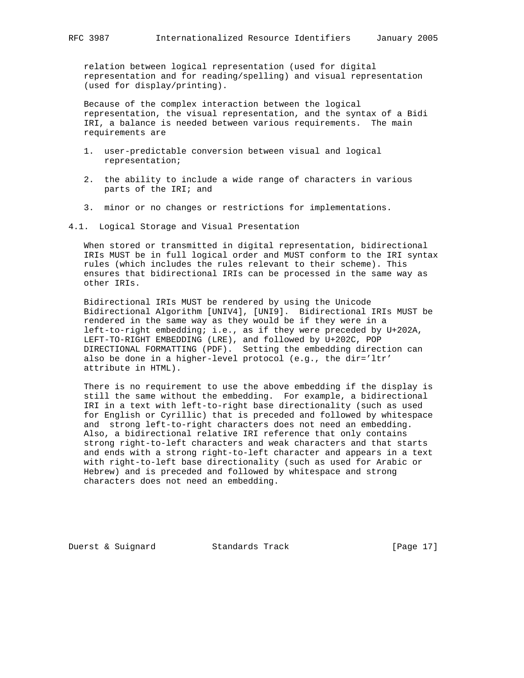relation between logical representation (used for digital representation and for reading/spelling) and visual representation (used for display/printing).

 Because of the complex interaction between the logical representation, the visual representation, and the syntax of a Bidi IRI, a balance is needed between various requirements. The main requirements are

- 1. user-predictable conversion between visual and logical representation;
- 2. the ability to include a wide range of characters in various parts of the IRI; and
- 3. minor or no changes or restrictions for implementations.
- 4.1. Logical Storage and Visual Presentation

 When stored or transmitted in digital representation, bidirectional IRIs MUST be in full logical order and MUST conform to the IRI syntax rules (which includes the rules relevant to their scheme). This ensures that bidirectional IRIs can be processed in the same way as other IRIs.

 Bidirectional IRIs MUST be rendered by using the Unicode Bidirectional Algorithm [UNIV4], [UNI9]. Bidirectional IRIs MUST be rendered in the same way as they would be if they were in a left-to-right embedding; i.e., as if they were preceded by U+202A, LEFT-TO-RIGHT EMBEDDING (LRE), and followed by U+202C, POP DIRECTIONAL FORMATTING (PDF). Setting the embedding direction can also be done in a higher-level protocol (e.g., the dir='ltr' attribute in HTML).

 There is no requirement to use the above embedding if the display is still the same without the embedding. For example, a bidirectional IRI in a text with left-to-right base directionality (such as used for English or Cyrillic) that is preceded and followed by whitespace and strong left-to-right characters does not need an embedding. Also, a bidirectional relative IRI reference that only contains strong right-to-left characters and weak characters and that starts and ends with a strong right-to-left character and appears in a text with right-to-left base directionality (such as used for Arabic or Hebrew) and is preceded and followed by whitespace and strong characters does not need an embedding.

Duerst & Suignard Standards Track [Page 17]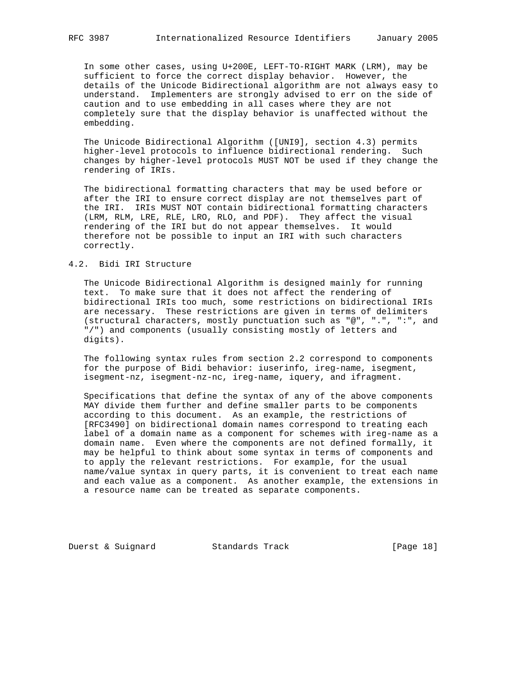In some other cases, using U+200E, LEFT-TO-RIGHT MARK (LRM), may be sufficient to force the correct display behavior. However, the details of the Unicode Bidirectional algorithm are not always easy to understand. Implementers are strongly advised to err on the side of caution and to use embedding in all cases where they are not completely sure that the display behavior is unaffected without the embedding.

 The Unicode Bidirectional Algorithm ([UNI9], section 4.3) permits higher-level protocols to influence bidirectional rendering. Such changes by higher-level protocols MUST NOT be used if they change the rendering of IRIs.

 The bidirectional formatting characters that may be used before or after the IRI to ensure correct display are not themselves part of the IRI. IRIs MUST NOT contain bidirectional formatting characters (LRM, RLM, LRE, RLE, LRO, RLO, and PDF). They affect the visual rendering of the IRI but do not appear themselves. It would therefore not be possible to input an IRI with such characters correctly.

## 4.2. Bidi IRI Structure

 The Unicode Bidirectional Algorithm is designed mainly for running text. To make sure that it does not affect the rendering of bidirectional IRIs too much, some restrictions on bidirectional IRIs are necessary. These restrictions are given in terms of delimiters (structural characters, mostly punctuation such as "@", ".", ":", and "/") and components (usually consisting mostly of letters and digits).

 The following syntax rules from section 2.2 correspond to components for the purpose of Bidi behavior: iuserinfo, ireg-name, isegment, isegment-nz, isegment-nz-nc, ireg-name, iquery, and ifragment.

 Specifications that define the syntax of any of the above components MAY divide them further and define smaller parts to be components according to this document. As an example, the restrictions of [RFC3490] on bidirectional domain names correspond to treating each label of a domain name as a component for schemes with ireg-name as a domain name. Even where the components are not defined formally, it may be helpful to think about some syntax in terms of components and to apply the relevant restrictions. For example, for the usual name/value syntax in query parts, it is convenient to treat each name and each value as a component. As another example, the extensions in a resource name can be treated as separate components.

Duerst & Suignard Standards Track [Page 18]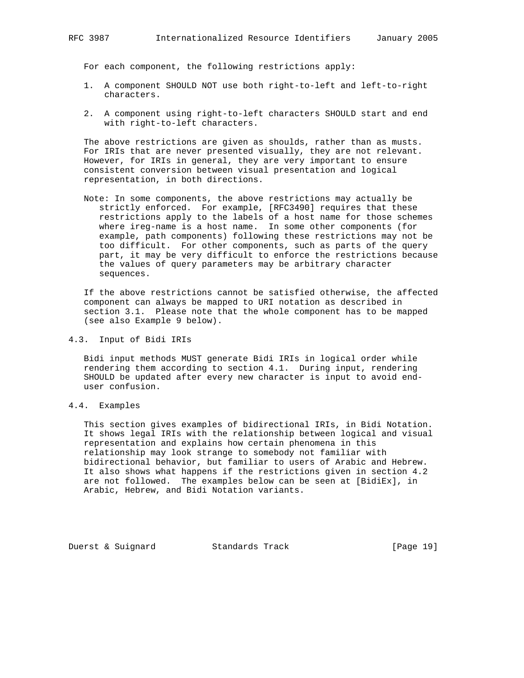For each component, the following restrictions apply:

- 1. A component SHOULD NOT use both right-to-left and left-to-right characters.
- 2. A component using right-to-left characters SHOULD start and end with right-to-left characters.

 The above restrictions are given as shoulds, rather than as musts. For IRIs that are never presented visually, they are not relevant. However, for IRIs in general, they are very important to ensure consistent conversion between visual presentation and logical representation, in both directions.

 Note: In some components, the above restrictions may actually be strictly enforced. For example, [RFC3490] requires that these restrictions apply to the labels of a host name for those schemes where ireg-name is a host name. In some other components (for example, path components) following these restrictions may not be too difficult. For other components, such as parts of the query part, it may be very difficult to enforce the restrictions because the values of query parameters may be arbitrary character sequences.

 If the above restrictions cannot be satisfied otherwise, the affected component can always be mapped to URI notation as described in section 3.1. Please note that the whole component has to be mapped (see also Example 9 below).

4.3. Input of Bidi IRIs

 Bidi input methods MUST generate Bidi IRIs in logical order while rendering them according to section 4.1. During input, rendering SHOULD be updated after every new character is input to avoid end user confusion.

4.4. Examples

 This section gives examples of bidirectional IRIs, in Bidi Notation. It shows legal IRIs with the relationship between logical and visual representation and explains how certain phenomena in this relationship may look strange to somebody not familiar with bidirectional behavior, but familiar to users of Arabic and Hebrew. It also shows what happens if the restrictions given in section 4.2 are not followed. The examples below can be seen at [BidiEx], in Arabic, Hebrew, and Bidi Notation variants.

Duerst & Suignard Standards Track [Page 19]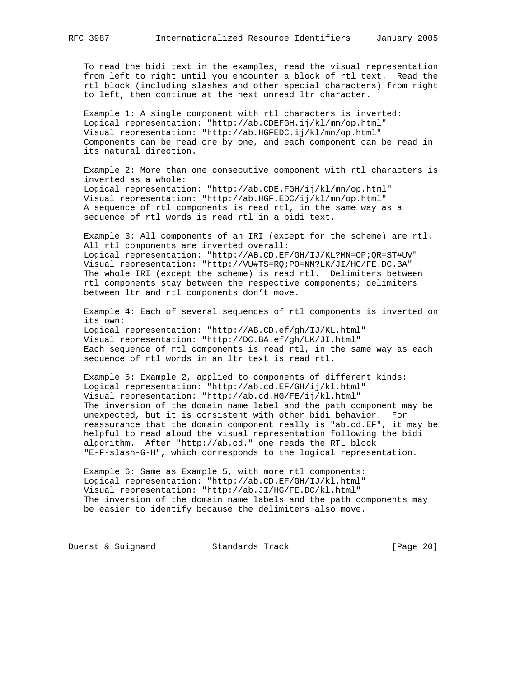To read the bidi text in the examples, read the visual representation from left to right until you encounter a block of rtl text. Read the rtl block (including slashes and other special characters) from right to left, then continue at the next unread ltr character.

 Example 1: A single component with rtl characters is inverted: Logical representation: "http://ab.CDEFGH.ij/kl/mn/op.html" Visual representation: "http://ab.HGFEDC.ij/kl/mn/op.html" Components can be read one by one, and each component can be read in its natural direction.

 Example 2: More than one consecutive component with rtl characters is inverted as a whole: Logical representation: "http://ab.CDE.FGH/ij/kl/mn/op.html" Visual representation: "http://ab.HGF.EDC/ij/kl/mn/op.html" A sequence of rtl components is read rtl, in the same way as a sequence of rtl words is read rtl in a bidi text.

 Example 3: All components of an IRI (except for the scheme) are rtl. All rtl components are inverted overall: Logical representation: "http://AB.CD.EF/GH/IJ/KL?MN=OP;QR=ST#UV" Visual representation: "http://VU#TS=RQ;PO=NM?LK/JI/HG/FE.DC.BA" The whole IRI (except the scheme) is read rtl. Delimiters between rtl components stay between the respective components; delimiters between ltr and rtl components don't move.

 Example 4: Each of several sequences of rtl components is inverted on its own: Logical representation: "http://AB.CD.ef/gh/IJ/KL.html" Visual representation: "http://DC.BA.ef/gh/LK/JI.html" Each sequence of rtl components is read rtl, in the same way as each sequence of rtl words in an ltr text is read rtl.

 Example 5: Example 2, applied to components of different kinds: Logical representation: "http://ab.cd.EF/GH/ij/kl.html" Visual representation: "http://ab.cd.HG/FE/ij/kl.html" The inversion of the domain name label and the path component may be unexpected, but it is consistent with other bidi behavior. For reassurance that the domain component really is "ab.cd.EF", it may be helpful to read aloud the visual representation following the bidi algorithm. After "http://ab.cd." one reads the RTL block "E-F-slash-G-H", which corresponds to the logical representation.

 Example 6: Same as Example 5, with more rtl components: Logical representation: "http://ab.CD.EF/GH/IJ/kl.html" Visual representation: "http://ab.JI/HG/FE.DC/kl.html" The inversion of the domain name labels and the path components may be easier to identify because the delimiters also move.

Duerst & Suignard Standards Track [Page 20]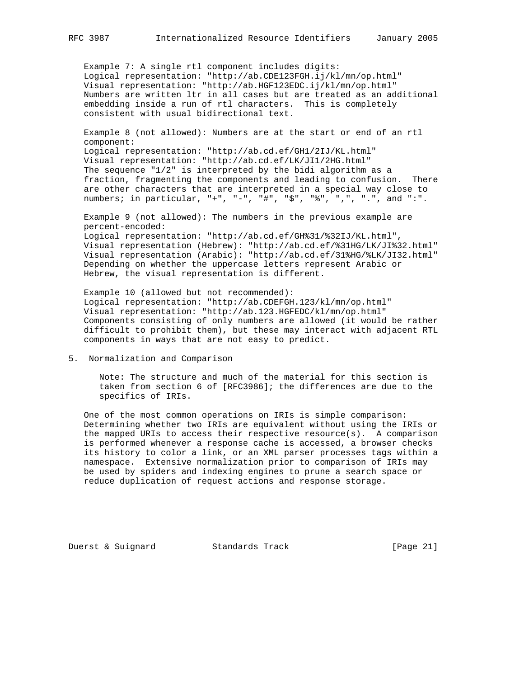Example 7: A single rtl component includes digits: Logical representation: "http://ab.CDE123FGH.ij/kl/mn/op.html" Visual representation: "http://ab.HGF123EDC.ij/kl/mn/op.html" Numbers are written ltr in all cases but are treated as an additional embedding inside a run of rtl characters. This is completely consistent with usual bidirectional text.

 Example 8 (not allowed): Numbers are at the start or end of an rtl component:

 Logical representation: "http://ab.cd.ef/GH1/2IJ/KL.html" Visual representation: "http://ab.cd.ef/LK/JI1/2HG.html" The sequence  $1/2$ " is interpreted by the bidi algorithm as a fraction, fragmenting the components and leading to confusion. There are other characters that are interpreted in a special way close to numbers; in particular, "+", "-", "#", "\$", "%", ",", ".", and ":".

 Example 9 (not allowed): The numbers in the previous example are percent-encoded: Logical representation: "http://ab.cd.ef/GH%31/%32IJ/KL.html", Visual representation (Hebrew): "http://ab.cd.ef/%31HG/LK/JI%32.html" Visual representation (Arabic): "http://ab.cd.ef/31%HG/%LK/JI32.html" Depending on whether the uppercase letters represent Arabic or Hebrew, the visual representation is different.

 Example 10 (allowed but not recommended): Logical representation: "http://ab.CDEFGH.123/kl/mn/op.html" Visual representation: "http://ab.123.HGFEDC/kl/mn/op.html" Components consisting of only numbers are allowed (it would be rather difficult to prohibit them), but these may interact with adjacent RTL components in ways that are not easy to predict.

5. Normalization and Comparison

 Note: The structure and much of the material for this section is taken from section 6 of [RFC3986]; the differences are due to the specifics of IRIs.

 One of the most common operations on IRIs is simple comparison: Determining whether two IRIs are equivalent without using the IRIs or the mapped URIs to access their respective resource(s). A comparison is performed whenever a response cache is accessed, a browser checks its history to color a link, or an XML parser processes tags within a namespace. Extensive normalization prior to comparison of IRIs may be used by spiders and indexing engines to prune a search space or reduce duplication of request actions and response storage.

Duerst & Suignard Standards Track [Page 21]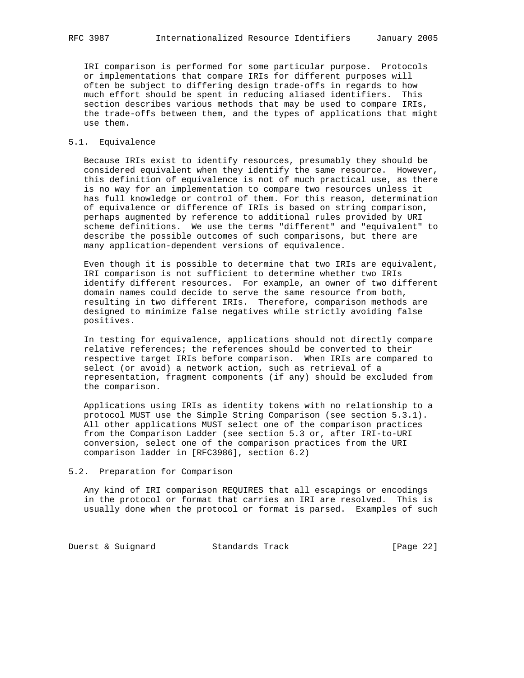IRI comparison is performed for some particular purpose. Protocols or implementations that compare IRIs for different purposes will often be subject to differing design trade-offs in regards to how much effort should be spent in reducing aliased identifiers. This section describes various methods that may be used to compare IRIs, the trade-offs between them, and the types of applications that might use them.

### 5.1. Equivalence

 Because IRIs exist to identify resources, presumably they should be considered equivalent when they identify the same resource. However, this definition of equivalence is not of much practical use, as there is no way for an implementation to compare two resources unless it has full knowledge or control of them. For this reason, determination of equivalence or difference of IRIs is based on string comparison, perhaps augmented by reference to additional rules provided by URI scheme definitions. We use the terms "different" and "equivalent" to describe the possible outcomes of such comparisons, but there are many application-dependent versions of equivalence.

 Even though it is possible to determine that two IRIs are equivalent, IRI comparison is not sufficient to determine whether two IRIs identify different resources. For example, an owner of two different domain names could decide to serve the same resource from both, resulting in two different IRIs. Therefore, comparison methods are designed to minimize false negatives while strictly avoiding false positives.

 In testing for equivalence, applications should not directly compare relative references; the references should be converted to their respective target IRIs before comparison. When IRIs are compared to select (or avoid) a network action, such as retrieval of a representation, fragment components (if any) should be excluded from the comparison.

 Applications using IRIs as identity tokens with no relationship to a protocol MUST use the Simple String Comparison (see section 5.3.1). All other applications MUST select one of the comparison practices from the Comparison Ladder (see section 5.3 or, after IRI-to-URI conversion, select one of the comparison practices from the URI comparison ladder in [RFC3986], section 6.2)

#### 5.2. Preparation for Comparison

 Any kind of IRI comparison REQUIRES that all escapings or encodings in the protocol or format that carries an IRI are resolved. This is usually done when the protocol or format is parsed. Examples of such

Duerst & Suignard Standards Track [Page 22]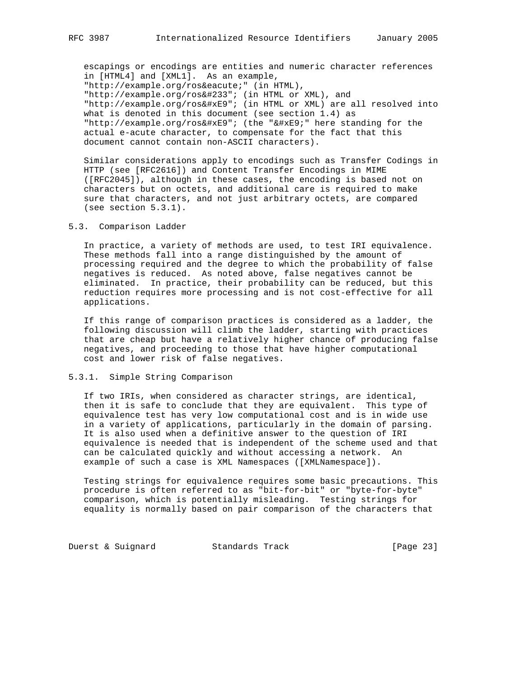escapings or encodings are entities and numeric character references in [HTML4] and [XML1]. As an example, "http://example.org/rosé" (in HTML), "http://example.org/ros&#233"; (in HTML or XML), and "http://example.org/ros&#xE9"; (in HTML or XML) are all resolved into what is denoted in this document (see section 1.4) as "http://example.org/ros&#xE9"; (the "é" here standing for the actual e-acute character, to compensate for the fact that this document cannot contain non-ASCII characters).

 Similar considerations apply to encodings such as Transfer Codings in HTTP (see [RFC2616]) and Content Transfer Encodings in MIME ([RFC2045]), although in these cases, the encoding is based not on characters but on octets, and additional care is required to make sure that characters, and not just arbitrary octets, are compared (see section 5.3.1).

### 5.3. Comparison Ladder

 In practice, a variety of methods are used, to test IRI equivalence. These methods fall into a range distinguished by the amount of processing required and the degree to which the probability of false negatives is reduced. As noted above, false negatives cannot be eliminated. In practice, their probability can be reduced, but this reduction requires more processing and is not cost-effective for all applications.

 If this range of comparison practices is considered as a ladder, the following discussion will climb the ladder, starting with practices that are cheap but have a relatively higher chance of producing false negatives, and proceeding to those that have higher computational cost and lower risk of false negatives.

#### 5.3.1. Simple String Comparison

 If two IRIs, when considered as character strings, are identical, then it is safe to conclude that they are equivalent. This type of equivalence test has very low computational cost and is in wide use in a variety of applications, particularly in the domain of parsing. It is also used when a definitive answer to the question of IRI equivalence is needed that is independent of the scheme used and that can be calculated quickly and without accessing a network. An example of such a case is XML Namespaces ([XMLNamespace]).

 Testing strings for equivalence requires some basic precautions. This procedure is often referred to as "bit-for-bit" or "byte-for-byte" comparison, which is potentially misleading. Testing strings for equality is normally based on pair comparison of the characters that

Duerst & Suignard Standards Track [Page 23]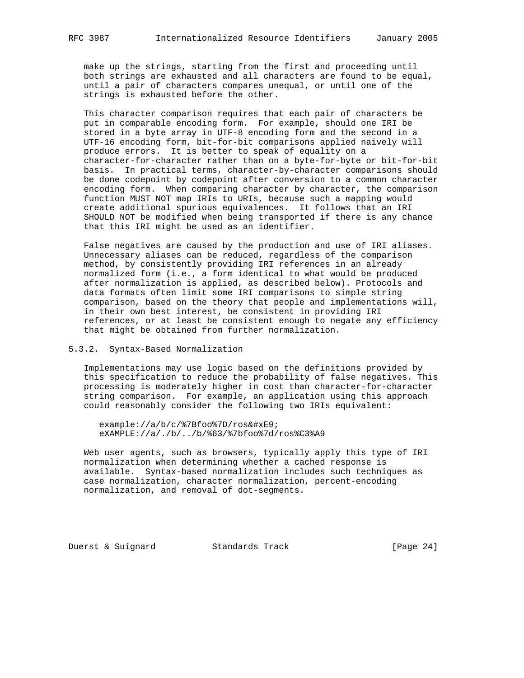make up the strings, starting from the first and proceeding until both strings are exhausted and all characters are found to be equal, until a pair of characters compares unequal, or until one of the strings is exhausted before the other.

 This character comparison requires that each pair of characters be put in comparable encoding form. For example, should one IRI be stored in a byte array in UTF-8 encoding form and the second in a UTF-16 encoding form, bit-for-bit comparisons applied naively will produce errors. It is better to speak of equality on a character-for-character rather than on a byte-for-byte or bit-for-bit basis. In practical terms, character-by-character comparisons should be done codepoint by codepoint after conversion to a common character encoding form. When comparing character by character, the comparison function MUST NOT map IRIs to URIs, because such a mapping would create additional spurious equivalences. It follows that an IRI SHOULD NOT be modified when being transported if there is any chance that this IRI might be used as an identifier.

 False negatives are caused by the production and use of IRI aliases. Unnecessary aliases can be reduced, regardless of the comparison method, by consistently providing IRI references in an already normalized form (i.e., a form identical to what would be produced after normalization is applied, as described below). Protocols and data formats often limit some IRI comparisons to simple string comparison, based on the theory that people and implementations will, in their own best interest, be consistent in providing IRI references, or at least be consistent enough to negate any efficiency that might be obtained from further normalization.

### 5.3.2. Syntax-Based Normalization

 Implementations may use logic based on the definitions provided by this specification to reduce the probability of false negatives. This processing is moderately higher in cost than character-for-character string comparison. For example, an application using this approach could reasonably consider the following two IRIs equivalent:

example://a/b/c/%7Bfoo%7D/rosé eXAMPLE://a/./b/../b/%63/%7bfoo%7d/ros%C3%A9

 Web user agents, such as browsers, typically apply this type of IRI normalization when determining whether a cached response is available. Syntax-based normalization includes such techniques as case normalization, character normalization, percent-encoding normalization, and removal of dot-segments.

Duerst & Suignard Standards Track [Page 24]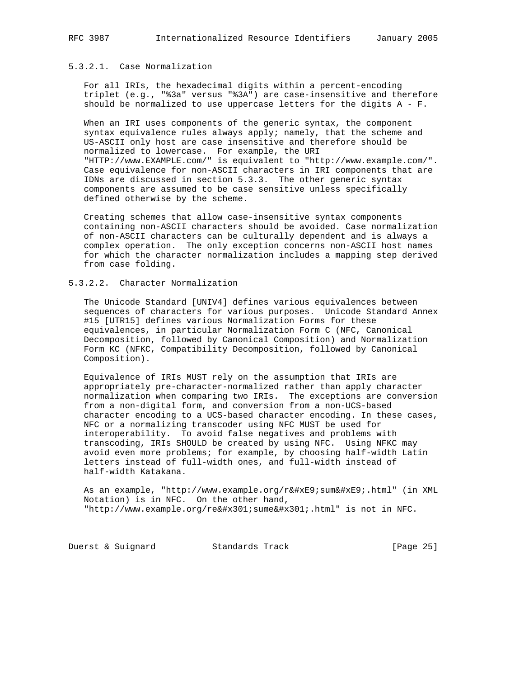# 5.3.2.1. Case Normalization

 For all IRIs, the hexadecimal digits within a percent-encoding triplet (e.g., "%3a" versus "%3A") are case-insensitive and therefore should be normalized to use uppercase letters for the digits A - F.

 When an IRI uses components of the generic syntax, the component syntax equivalence rules always apply; namely, that the scheme and US-ASCII only host are case insensitive and therefore should be normalized to lowercase. For example, the URI "HTTP://www.EXAMPLE.com/" is equivalent to "http://www.example.com/". Case equivalence for non-ASCII characters in IRI components that are IDNs are discussed in section 5.3.3. The other generic syntax components are assumed to be case sensitive unless specifically defined otherwise by the scheme.

 Creating schemes that allow case-insensitive syntax components containing non-ASCII characters should be avoided. Case normalization of non-ASCII characters can be culturally dependent and is always a complex operation. The only exception concerns non-ASCII host names for which the character normalization includes a mapping step derived from case folding.

### 5.3.2.2. Character Normalization

 The Unicode Standard [UNIV4] defines various equivalences between sequences of characters for various purposes. Unicode Standard Annex #15 [UTR15] defines various Normalization Forms for these equivalences, in particular Normalization Form C (NFC, Canonical Decomposition, followed by Canonical Composition) and Normalization Form KC (NFKC, Compatibility Decomposition, followed by Canonical Composition).

 Equivalence of IRIs MUST rely on the assumption that IRIs are appropriately pre-character-normalized rather than apply character normalization when comparing two IRIs. The exceptions are conversion from a non-digital form, and conversion from a non-UCS-based character encoding to a UCS-based character encoding. In these cases, NFC or a normalizing transcoder using NFC MUST be used for interoperability. To avoid false negatives and problems with transcoding, IRIs SHOULD be created by using NFC. Using NFKC may avoid even more problems; for example, by choosing half-width Latin letters instead of full-width ones, and full-width instead of half-width Katakana.

As an example, "http://www.example.org/résumé.html" (in XML Notation) is in NFC. On the other hand,  $"http://www.example.org/ré:sumé:.html" is not in NFC.$ 

Duerst & Suignard Standards Track [Page 25]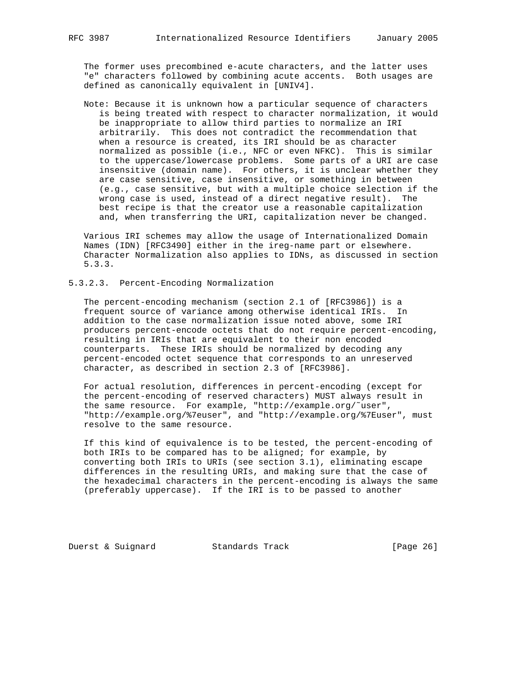The former uses precombined e-acute characters, and the latter uses "e" characters followed by combining acute accents. Both usages are defined as canonically equivalent in [UNIV4].

 Note: Because it is unknown how a particular sequence of characters is being treated with respect to character normalization, it would be inappropriate to allow third parties to normalize an IRI arbitrarily. This does not contradict the recommendation that when a resource is created, its IRI should be as character normalized as possible (i.e., NFC or even NFKC). This is similar to the uppercase/lowercase problems. Some parts of a URI are case insensitive (domain name). For others, it is unclear whether they are case sensitive, case insensitive, or something in between (e.g., case sensitive, but with a multiple choice selection if the wrong case is used, instead of a direct negative result). The best recipe is that the creator use a reasonable capitalization and, when transferring the URI, capitalization never be changed.

 Various IRI schemes may allow the usage of Internationalized Domain Names (IDN) [RFC3490] either in the ireg-name part or elsewhere. Character Normalization also applies to IDNs, as discussed in section 5.3.3.

# 5.3.2.3. Percent-Encoding Normalization

 The percent-encoding mechanism (section 2.1 of [RFC3986]) is a frequent source of variance among otherwise identical IRIs. In addition to the case normalization issue noted above, some IRI producers percent-encode octets that do not require percent-encoding, resulting in IRIs that are equivalent to their non encoded counterparts. These IRIs should be normalized by decoding any percent-encoded octet sequence that corresponds to an unreserved character, as described in section 2.3 of [RFC3986].

 For actual resolution, differences in percent-encoding (except for the percent-encoding of reserved characters) MUST always result in the same resource. For example, "http://example.org/˜user", "http://example.org/%7euser", and "http://example.org/%7Euser", must resolve to the same resource.

 If this kind of equivalence is to be tested, the percent-encoding of both IRIs to be compared has to be aligned; for example, by converting both IRIs to URIs (see section 3.1), eliminating escape differences in the resulting URIs, and making sure that the case of the hexadecimal characters in the percent-encoding is always the same (preferably uppercase). If the IRI is to be passed to another

Duerst & Suignard Standards Track [Page 26]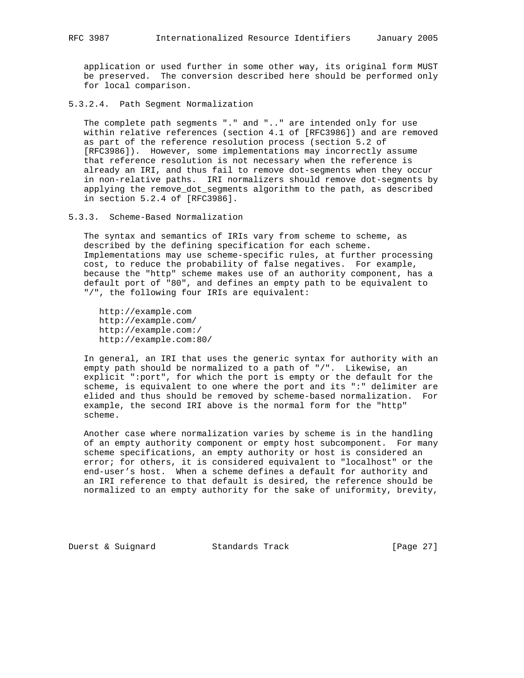application or used further in some other way, its original form MUST be preserved. The conversion described here should be performed only for local comparison.

5.3.2.4. Path Segment Normalization

 The complete path segments "." and ".." are intended only for use within relative references (section 4.1 of [RFC3986]) and are removed as part of the reference resolution process (section 5.2 of [RFC3986]). However, some implementations may incorrectly assume that reference resolution is not necessary when the reference is already an IRI, and thus fail to remove dot-segments when they occur in non-relative paths. IRI normalizers should remove dot-segments by applying the remove\_dot\_segments algorithm to the path, as described in section 5.2.4 of [RFC3986].

5.3.3. Scheme-Based Normalization

 The syntax and semantics of IRIs vary from scheme to scheme, as described by the defining specification for each scheme. Implementations may use scheme-specific rules, at further processing cost, to reduce the probability of false negatives. For example, because the "http" scheme makes use of an authority component, has a default port of "80", and defines an empty path to be equivalent to "/", the following four IRIs are equivalent:

 http://example.com http://example.com/ http://example.com:/ http://example.com:80/

 In general, an IRI that uses the generic syntax for authority with an empty path should be normalized to a path of "/". Likewise, an explicit ":port", for which the port is empty or the default for the scheme, is equivalent to one where the port and its ":" delimiter are elided and thus should be removed by scheme-based normalization. For example, the second IRI above is the normal form for the "http" scheme.

 Another case where normalization varies by scheme is in the handling of an empty authority component or empty host subcomponent. For many scheme specifications, an empty authority or host is considered an error; for others, it is considered equivalent to "localhost" or the end-user's host. When a scheme defines a default for authority and an IRI reference to that default is desired, the reference should be normalized to an empty authority for the sake of uniformity, brevity,

Duerst & Suignard Standards Track [Page 27]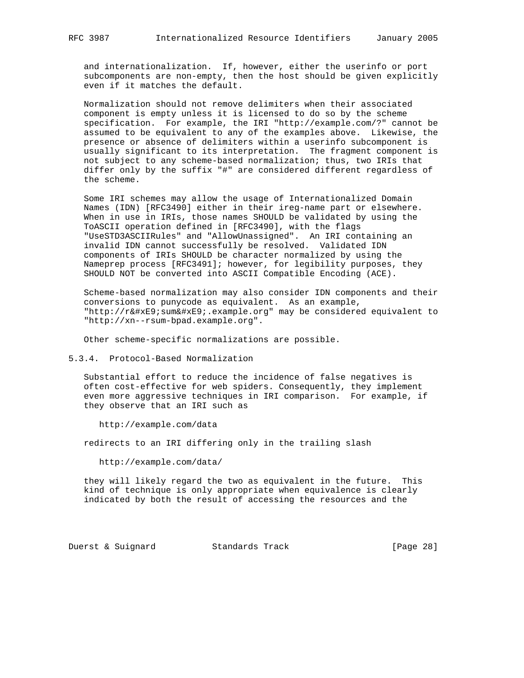and internationalization. If, however, either the userinfo or port subcomponents are non-empty, then the host should be given explicitly even if it matches the default.

 Normalization should not remove delimiters when their associated component is empty unless it is licensed to do so by the scheme specification. For example, the IRI "http://example.com/?" cannot be assumed to be equivalent to any of the examples above. Likewise, the presence or absence of delimiters within a userinfo subcomponent is usually significant to its interpretation. The fragment component is not subject to any scheme-based normalization; thus, two IRIs that differ only by the suffix "#" are considered different regardless of the scheme.

 Some IRI schemes may allow the usage of Internationalized Domain Names (IDN) [RFC3490] either in their ireg-name part or elsewhere. When in use in IRIs, those names SHOULD be validated by using the ToASCII operation defined in [RFC3490], with the flags "UseSTD3ASCIIRules" and "AllowUnassigned". An IRI containing an invalid IDN cannot successfully be resolved. Validated IDN components of IRIs SHOULD be character normalized by using the Nameprep process [RFC3491]; however, for legibility purposes, they SHOULD NOT be converted into ASCII Compatible Encoding (ACE).

 Scheme-based normalization may also consider IDN components and their conversions to punycode as equivalent. As an example, "http://résumé.example.org" may be considered equivalent to "http://xn--rsum-bpad.example.org".

Other scheme-specific normalizations are possible.

#### 5.3.4. Protocol-Based Normalization

 Substantial effort to reduce the incidence of false negatives is often cost-effective for web spiders. Consequently, they implement even more aggressive techniques in IRI comparison. For example, if they observe that an IRI such as

http://example.com/data

redirects to an IRI differing only in the trailing slash

http://example.com/data/

 they will likely regard the two as equivalent in the future. This kind of technique is only appropriate when equivalence is clearly indicated by both the result of accessing the resources and the

Duerst & Suignard Standards Track [Page 28]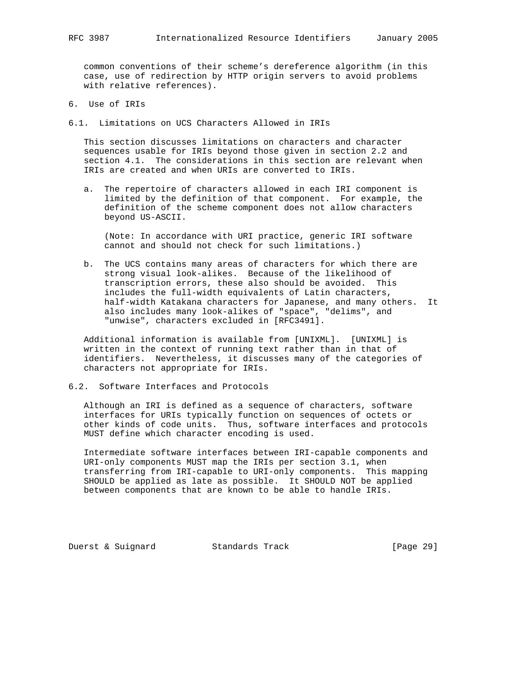common conventions of their scheme's dereference algorithm (in this case, use of redirection by HTTP origin servers to avoid problems with relative references).

- 6. Use of IRIs
- 6.1. Limitations on UCS Characters Allowed in IRIs

 This section discusses limitations on characters and character sequences usable for IRIs beyond those given in section 2.2 and section 4.1. The considerations in this section are relevant when IRIs are created and when URIs are converted to IRIs.

 a. The repertoire of characters allowed in each IRI component is limited by the definition of that component. For example, the definition of the scheme component does not allow characters beyond US-ASCII.

 (Note: In accordance with URI practice, generic IRI software cannot and should not check for such limitations.)

 b. The UCS contains many areas of characters for which there are strong visual look-alikes. Because of the likelihood of transcription errors, these also should be avoided. This includes the full-width equivalents of Latin characters, half-width Katakana characters for Japanese, and many others. It also includes many look-alikes of "space", "delims", and "unwise", characters excluded in [RFC3491].

 Additional information is available from [UNIXML]. [UNIXML] is written in the context of running text rather than in that of identifiers. Nevertheless, it discusses many of the categories of characters not appropriate for IRIs.

6.2. Software Interfaces and Protocols

 Although an IRI is defined as a sequence of characters, software interfaces for URIs typically function on sequences of octets or other kinds of code units. Thus, software interfaces and protocols MUST define which character encoding is used.

 Intermediate software interfaces between IRI-capable components and URI-only components MUST map the IRIs per section 3.1, when transferring from IRI-capable to URI-only components. This mapping SHOULD be applied as late as possible. It SHOULD NOT be applied between components that are known to be able to handle IRIs.

Duerst & Suignard Standards Track [Page 29]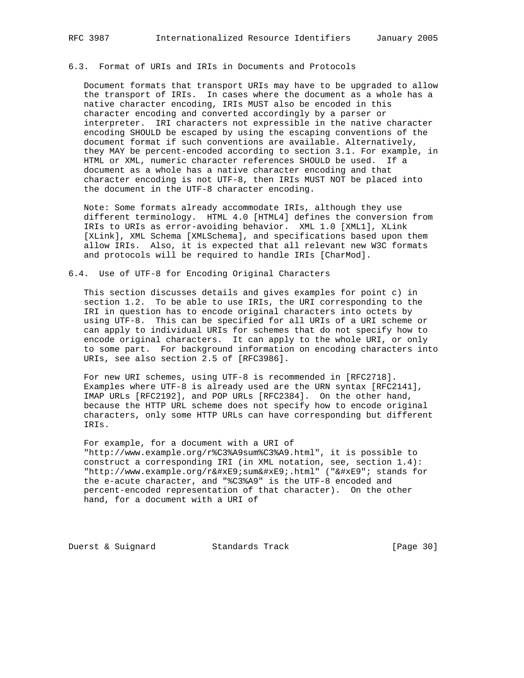Document formats that transport URIs may have to be upgraded to allow the transport of IRIs. In cases where the document as a whole has a native character encoding, IRIs MUST also be encoded in this character encoding and converted accordingly by a parser or interpreter. IRI characters not expressible in the native character encoding SHOULD be escaped by using the escaping conventions of the document format if such conventions are available. Alternatively, they MAY be percent-encoded according to section 3.1. For example, in HTML or XML, numeric character references SHOULD be used. If a document as a whole has a native character encoding and that character encoding is not UTF-8, then IRIs MUST NOT be placed into the document in the UTF-8 character encoding.

 Note: Some formats already accommodate IRIs, although they use different terminology. HTML 4.0 [HTML4] defines the conversion from IRIs to URIs as error-avoiding behavior. XML 1.0 [XML1], XLink [XLink], XML Schema [XMLSchema], and specifications based upon them allow IRIs. Also, it is expected that all relevant new W3C formats and protocols will be required to handle IRIs [CharMod].

#### 6.4. Use of UTF-8 for Encoding Original Characters

 This section discusses details and gives examples for point c) in section 1.2. To be able to use IRIs, the URI corresponding to the IRI in question has to encode original characters into octets by using UTF-8. This can be specified for all URIs of a URI scheme or can apply to individual URIs for schemes that do not specify how to encode original characters. It can apply to the whole URI, or only to some part. For background information on encoding characters into URIs, see also section 2.5 of [RFC3986].

 For new URI schemes, using UTF-8 is recommended in [RFC2718]. Examples where UTF-8 is already used are the URN syntax [RFC2141], IMAP URLs [RFC2192], and POP URLs [RFC2384]. On the other hand, because the HTTP URL scheme does not specify how to encode original characters, only some HTTP URLs can have corresponding but different IRIs.

 For example, for a document with a URI of "http://www.example.org/r%C3%A9sum%C3%A9.html", it is possible to construct a corresponding IRI (in XML notation, see, section 1.4): "http://www.example.org/résumé.html" ("&#xE9"; stands for the e-acute character, and "%C3%A9" is the UTF-8 encoded and percent-encoded representation of that character). On the other hand, for a document with a URI of

Duerst & Suignard Standards Track [Page 30]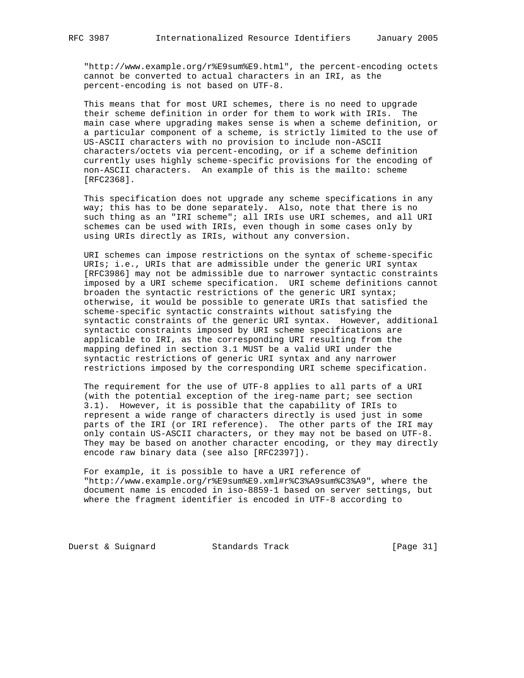"http://www.example.org/r%E9sum%E9.html", the percent-encoding octets cannot be converted to actual characters in an IRI, as the percent-encoding is not based on UTF-8.

 This means that for most URI schemes, there is no need to upgrade their scheme definition in order for them to work with IRIs. The main case where upgrading makes sense is when a scheme definition, or a particular component of a scheme, is strictly limited to the use of US-ASCII characters with no provision to include non-ASCII characters/octets via percent-encoding, or if a scheme definition currently uses highly scheme-specific provisions for the encoding of non-ASCII characters. An example of this is the mailto: scheme [RFC2368].

 This specification does not upgrade any scheme specifications in any way; this has to be done separately. Also, note that there is no such thing as an "IRI scheme"; all IRIs use URI schemes, and all URI schemes can be used with IRIs, even though in some cases only by using URIs directly as IRIs, without any conversion.

 URI schemes can impose restrictions on the syntax of scheme-specific URIs; i.e., URIs that are admissible under the generic URI syntax [RFC3986] may not be admissible due to narrower syntactic constraints imposed by a URI scheme specification. URI scheme definitions cannot broaden the syntactic restrictions of the generic URI syntax; otherwise, it would be possible to generate URIs that satisfied the scheme-specific syntactic constraints without satisfying the syntactic constraints of the generic URI syntax. However, additional syntactic constraints imposed by URI scheme specifications are applicable to IRI, as the corresponding URI resulting from the mapping defined in section 3.1 MUST be a valid URI under the syntactic restrictions of generic URI syntax and any narrower restrictions imposed by the corresponding URI scheme specification.

 The requirement for the use of UTF-8 applies to all parts of a URI (with the potential exception of the ireg-name part; see section 3.1). However, it is possible that the capability of IRIs to represent a wide range of characters directly is used just in some parts of the IRI (or IRI reference). The other parts of the IRI may only contain US-ASCII characters, or they may not be based on UTF-8. They may be based on another character encoding, or they may directly encode raw binary data (see also [RFC2397]).

 For example, it is possible to have a URI reference of "http://www.example.org/r%E9sum%E9.xml#r%C3%A9sum%C3%A9", where the document name is encoded in iso-8859-1 based on server settings, but where the fragment identifier is encoded in UTF-8 according to

Duerst & Suignard Standards Track [Page 31]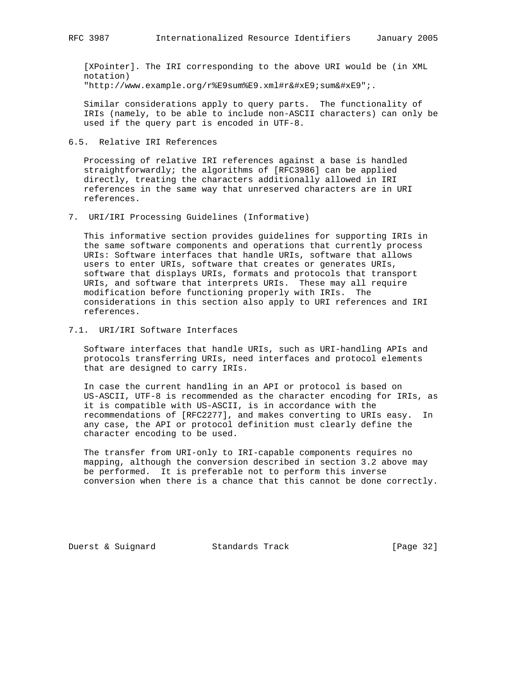[XPointer]. The IRI corresponding to the above URI would be (in XML notation)  $"http://www.example.org/r&E9sum&E9.xml\#ré:sumé"$ ;

 Similar considerations apply to query parts. The functionality of IRIs (namely, to be able to include non-ASCII characters) can only be used if the query part is encoded in UTF-8.

6.5. Relative IRI References

 Processing of relative IRI references against a base is handled straightforwardly; the algorithms of [RFC3986] can be applied directly, treating the characters additionally allowed in IRI references in the same way that unreserved characters are in URI references.

7. URI/IRI Processing Guidelines (Informative)

 This informative section provides guidelines for supporting IRIs in the same software components and operations that currently process URIs: Software interfaces that handle URIs, software that allows users to enter URIs, software that creates or generates URIs, software that displays URIs, formats and protocols that transport URIs, and software that interprets URIs. These may all require modification before functioning properly with IRIs. The considerations in this section also apply to URI references and IRI references.

7.1. URI/IRI Software Interfaces

 Software interfaces that handle URIs, such as URI-handling APIs and protocols transferring URIs, need interfaces and protocol elements that are designed to carry IRIs.

 In case the current handling in an API or protocol is based on US-ASCII, UTF-8 is recommended as the character encoding for IRIs, as it is compatible with US-ASCII, is in accordance with the recommendations of [RFC2277], and makes converting to URIs easy. In any case, the API or protocol definition must clearly define the character encoding to be used.

 The transfer from URI-only to IRI-capable components requires no mapping, although the conversion described in section 3.2 above may be performed. It is preferable not to perform this inverse conversion when there is a chance that this cannot be done correctly.

Duerst & Suignard Standards Track [Page 32]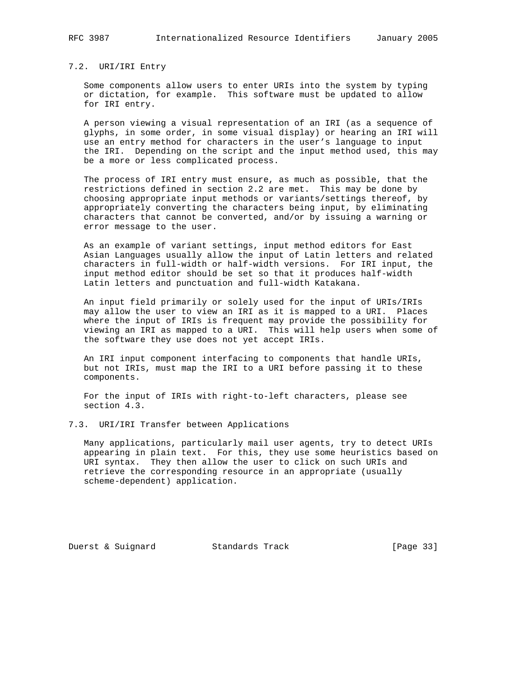## 7.2. URI/IRI Entry

 Some components allow users to enter URIs into the system by typing or dictation, for example. This software must be updated to allow for IRI entry.

 A person viewing a visual representation of an IRI (as a sequence of glyphs, in some order, in some visual display) or hearing an IRI will use an entry method for characters in the user's language to input the IRI. Depending on the script and the input method used, this may be a more or less complicated process.

 The process of IRI entry must ensure, as much as possible, that the restrictions defined in section 2.2 are met. This may be done by choosing appropriate input methods or variants/settings thereof, by appropriately converting the characters being input, by eliminating characters that cannot be converted, and/or by issuing a warning or error message to the user.

 As an example of variant settings, input method editors for East Asian Languages usually allow the input of Latin letters and related characters in full-width or half-width versions. For IRI input, the input method editor should be set so that it produces half-width Latin letters and punctuation and full-width Katakana.

 An input field primarily or solely used for the input of URIs/IRIs may allow the user to view an IRI as it is mapped to a URI. Places where the input of IRIs is frequent may provide the possibility for viewing an IRI as mapped to a URI. This will help users when some of the software they use does not yet accept IRIs.

 An IRI input component interfacing to components that handle URIs, but not IRIs, must map the IRI to a URI before passing it to these components.

 For the input of IRIs with right-to-left characters, please see section 4.3.

7.3. URI/IRI Transfer between Applications

 Many applications, particularly mail user agents, try to detect URIs appearing in plain text. For this, they use some heuristics based on URI syntax. They then allow the user to click on such URIs and retrieve the corresponding resource in an appropriate (usually scheme-dependent) application.

Duerst & Suignard Standards Track [Page 33]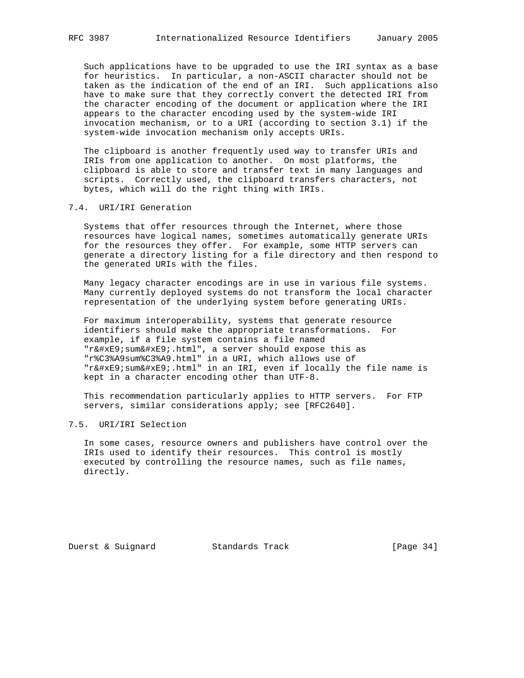Such applications have to be upgraded to use the IRI syntax as a base for heuristics. In particular, a non-ASCII character should not be taken as the indication of the end of an IRI. Such applications also have to make sure that they correctly convert the detected IRI from the character encoding of the document or application where the IRI appears to the character encoding used by the system-wide IRI invocation mechanism, or to a URI (according to section 3.1) if the system-wide invocation mechanism only accepts URIs.

 The clipboard is another frequently used way to transfer URIs and IRIs from one application to another. On most platforms, the clipboard is able to store and transfer text in many languages and scripts. Correctly used, the clipboard transfers characters, not bytes, which will do the right thing with IRIs.

### 7.4. URI/IRI Generation

 Systems that offer resources through the Internet, where those resources have logical names, sometimes automatically generate URIs for the resources they offer. For example, some HTTP servers can generate a directory listing for a file directory and then respond to the generated URIs with the files.

 Many legacy character encodings are in use in various file systems. Many currently deployed systems do not transform the local character representation of the underlying system before generating URIs.

 For maximum interoperability, systems that generate resource identifiers should make the appropriate transformations. For example, if a file system contains a file named "ré sumé .html", a server should expose this as "r%C3%A9sum%C3%A9.html" in a URI, which allows use of "résumé.html" in an IRI, even if locally the file name is kept in a character encoding other than UTF-8.

 This recommendation particularly applies to HTTP servers. For FTP servers, similar considerations apply; see [RFC2640].

# 7.5. URI/IRI Selection

 In some cases, resource owners and publishers have control over the IRIs used to identify their resources. This control is mostly executed by controlling the resource names, such as file names, directly.

Duerst & Suignard Standards Track [Page 34]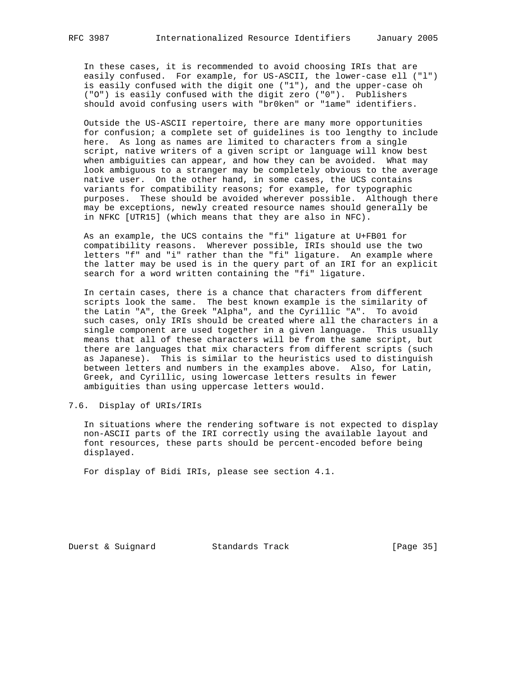In these cases, it is recommended to avoid choosing IRIs that are easily confused. For example, for US-ASCII, the lower-case ell ("l") is easily confused with the digit one ("1"), and the upper-case oh ("O") is easily confused with the digit zero ("0"). Publishers should avoid confusing users with "br0ken" or "1ame" identifiers.

 Outside the US-ASCII repertoire, there are many more opportunities for confusion; a complete set of guidelines is too lengthy to include here. As long as names are limited to characters from a single script, native writers of a given script or language will know best when ambiguities can appear, and how they can be avoided. What may look ambiguous to a stranger may be completely obvious to the average native user. On the other hand, in some cases, the UCS contains variants for compatibility reasons; for example, for typographic purposes. These should be avoided wherever possible. Although there may be exceptions, newly created resource names should generally be in NFKC [UTR15] (which means that they are also in NFC).

 As an example, the UCS contains the "fi" ligature at U+FB01 for compatibility reasons. Wherever possible, IRIs should use the two letters "f" and "i" rather than the "fi" ligature. An example where the latter may be used is in the query part of an IRI for an explicit search for a word written containing the "fi" ligature.

 In certain cases, there is a chance that characters from different scripts look the same. The best known example is the similarity of the Latin "A", the Greek "Alpha", and the Cyrillic "A". To avoid such cases, only IRIs should be created where all the characters in a single component are used together in a given language. This usually means that all of these characters will be from the same script, but there are languages that mix characters from different scripts (such as Japanese). This is similar to the heuristics used to distinguish between letters and numbers in the examples above. Also, for Latin, Greek, and Cyrillic, using lowercase letters results in fewer ambiguities than using uppercase letters would.

7.6. Display of URIs/IRIs

 In situations where the rendering software is not expected to display non-ASCII parts of the IRI correctly using the available layout and font resources, these parts should be percent-encoded before being displayed.

For display of Bidi IRIs, please see section 4.1.

Duerst & Suignard Standards Track [Page 35]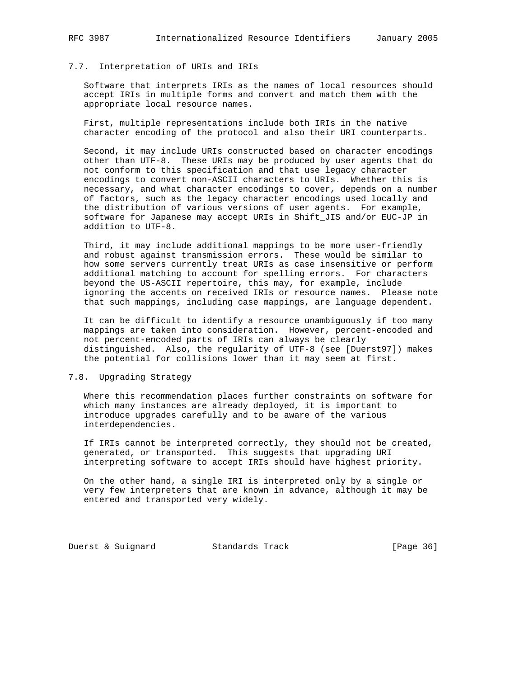# 7.7. Interpretation of URIs and IRIs

 Software that interprets IRIs as the names of local resources should accept IRIs in multiple forms and convert and match them with the appropriate local resource names.

 First, multiple representations include both IRIs in the native character encoding of the protocol and also their URI counterparts.

 Second, it may include URIs constructed based on character encodings other than UTF-8. These URIs may be produced by user agents that do not conform to this specification and that use legacy character encodings to convert non-ASCII characters to URIs. Whether this is necessary, and what character encodings to cover, depends on a number of factors, such as the legacy character encodings used locally and the distribution of various versions of user agents. For example, software for Japanese may accept URIs in Shift\_JIS and/or EUC-JP in addition to UTF-8.

 Third, it may include additional mappings to be more user-friendly and robust against transmission errors. These would be similar to how some servers currently treat URIs as case insensitive or perform additional matching to account for spelling errors. For characters beyond the US-ASCII repertoire, this may, for example, include ignoring the accents on received IRIs or resource names. Please note that such mappings, including case mappings, are language dependent.

 It can be difficult to identify a resource unambiguously if too many mappings are taken into consideration. However, percent-encoded and not percent-encoded parts of IRIs can always be clearly distinguished. Also, the regularity of UTF-8 (see [Duerst97]) makes the potential for collisions lower than it may seem at first.

## 7.8. Upgrading Strategy

 Where this recommendation places further constraints on software for which many instances are already deployed, it is important to introduce upgrades carefully and to be aware of the various interdependencies.

 If IRIs cannot be interpreted correctly, they should not be created, generated, or transported. This suggests that upgrading URI interpreting software to accept IRIs should have highest priority.

 On the other hand, a single IRI is interpreted only by a single or very few interpreters that are known in advance, although it may be entered and transported very widely.

Duerst & Suignard Standards Track [Page 36]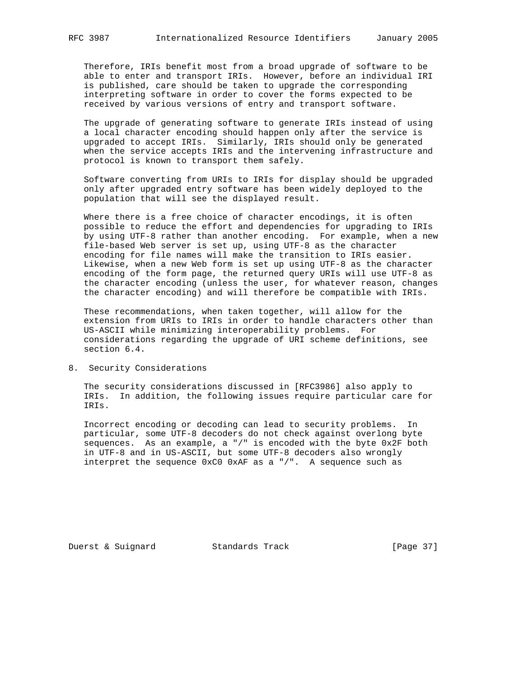Therefore, IRIs benefit most from a broad upgrade of software to be able to enter and transport IRIs. However, before an individual IRI is published, care should be taken to upgrade the corresponding interpreting software in order to cover the forms expected to be received by various versions of entry and transport software.

 The upgrade of generating software to generate IRIs instead of using a local character encoding should happen only after the service is upgraded to accept IRIs. Similarly, IRIs should only be generated when the service accepts IRIs and the intervening infrastructure and protocol is known to transport them safely.

 Software converting from URIs to IRIs for display should be upgraded only after upgraded entry software has been widely deployed to the population that will see the displayed result.

 Where there is a free choice of character encodings, it is often possible to reduce the effort and dependencies for upgrading to IRIs by using UTF-8 rather than another encoding. For example, when a new file-based Web server is set up, using UTF-8 as the character encoding for file names will make the transition to IRIs easier. Likewise, when a new Web form is set up using UTF-8 as the character encoding of the form page, the returned query URIs will use UTF-8 as the character encoding (unless the user, for whatever reason, changes the character encoding) and will therefore be compatible with IRIs.

 These recommendations, when taken together, will allow for the extension from URIs to IRIs in order to handle characters other than US-ASCII while minimizing interoperability problems. For considerations regarding the upgrade of URI scheme definitions, see section 6.4.

8. Security Considerations

 The security considerations discussed in [RFC3986] also apply to IRIs. In addition, the following issues require particular care for IRIs.

 Incorrect encoding or decoding can lead to security problems. In particular, some UTF-8 decoders do not check against overlong byte sequences. As an example, a "/" is encoded with the byte 0x2F both in UTF-8 and in US-ASCII, but some UTF-8 decoders also wrongly interpret the sequence 0xC0 0xAF as a "/". A sequence such as

Duerst & Suignard Standards Track [Page 37]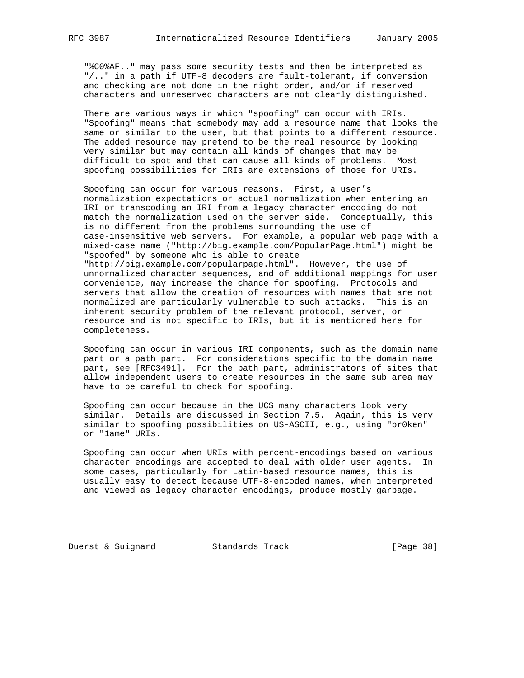"%C0%AF.." may pass some security tests and then be interpreted as "/.." in a path if UTF-8 decoders are fault-tolerant, if conversion and checking are not done in the right order, and/or if reserved characters and unreserved characters are not clearly distinguished.

 There are various ways in which "spoofing" can occur with IRIs. "Spoofing" means that somebody may add a resource name that looks the same or similar to the user, but that points to a different resource. The added resource may pretend to be the real resource by looking very similar but may contain all kinds of changes that may be difficult to spot and that can cause all kinds of problems. Most spoofing possibilities for IRIs are extensions of those for URIs.

 Spoofing can occur for various reasons. First, a user's normalization expectations or actual normalization when entering an IRI or transcoding an IRI from a legacy character encoding do not match the normalization used on the server side. Conceptually, this is no different from the problems surrounding the use of case-insensitive web servers. For example, a popular web page with a mixed-case name ("http://big.example.com/PopularPage.html") might be "spoofed" by someone who is able to create "http://big.example.com/popularpage.html". However, the use of unnormalized character sequences, and of additional mappings for user convenience, may increase the chance for spoofing. Protocols and servers that allow the creation of resources with names that are not normalized are particularly vulnerable to such attacks. This is an inherent security problem of the relevant protocol, server, or resource and is not specific to IRIs, but it is mentioned here for completeness.

 Spoofing can occur in various IRI components, such as the domain name part or a path part. For considerations specific to the domain name part, see [RFC3491]. For the path part, administrators of sites that allow independent users to create resources in the same sub area may have to be careful to check for spoofing.

 Spoofing can occur because in the UCS many characters look very similar. Details are discussed in Section 7.5. Again, this is very similar to spoofing possibilities on US-ASCII, e.g., using "br0ken" or "1ame" URIs.

 Spoofing can occur when URIs with percent-encodings based on various character encodings are accepted to deal with older user agents. In some cases, particularly for Latin-based resource names, this is usually easy to detect because UTF-8-encoded names, when interpreted and viewed as legacy character encodings, produce mostly garbage.

Duerst & Suignard Standards Track [Page 38]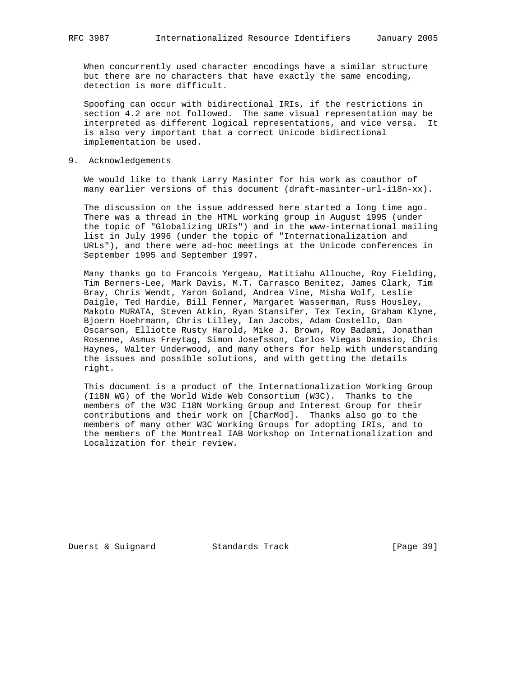When concurrently used character encodings have a similar structure but there are no characters that have exactly the same encoding, detection is more difficult.

 Spoofing can occur with bidirectional IRIs, if the restrictions in section 4.2 are not followed. The same visual representation may be interpreted as different logical representations, and vice versa. It is also very important that a correct Unicode bidirectional implementation be used.

9. Acknowledgements

 We would like to thank Larry Masinter for his work as coauthor of many earlier versions of this document (draft-masinter-url-i18n-xx).

 The discussion on the issue addressed here started a long time ago. There was a thread in the HTML working group in August 1995 (under the topic of "Globalizing URIs") and in the www-international mailing list in July 1996 (under the topic of "Internationalization and URLs"), and there were ad-hoc meetings at the Unicode conferences in September 1995 and September 1997.

 Many thanks go to Francois Yergeau, Matitiahu Allouche, Roy Fielding, Tim Berners-Lee, Mark Davis, M.T. Carrasco Benitez, James Clark, Tim Bray, Chris Wendt, Yaron Goland, Andrea Vine, Misha Wolf, Leslie Daigle, Ted Hardie, Bill Fenner, Margaret Wasserman, Russ Housley, Makoto MURATA, Steven Atkin, Ryan Stansifer, Tex Texin, Graham Klyne, Bjoern Hoehrmann, Chris Lilley, Ian Jacobs, Adam Costello, Dan Oscarson, Elliotte Rusty Harold, Mike J. Brown, Roy Badami, Jonathan Rosenne, Asmus Freytag, Simon Josefsson, Carlos Viegas Damasio, Chris Haynes, Walter Underwood, and many others for help with understanding the issues and possible solutions, and with getting the details right.

 This document is a product of the Internationalization Working Group (I18N WG) of the World Wide Web Consortium (W3C). Thanks to the members of the W3C I18N Working Group and Interest Group for their contributions and their work on [CharMod]. Thanks also go to the members of many other W3C Working Groups for adopting IRIs, and to the members of the Montreal IAB Workshop on Internationalization and Localization for their review.

Duerst & Suignard Standards Track [Page 39]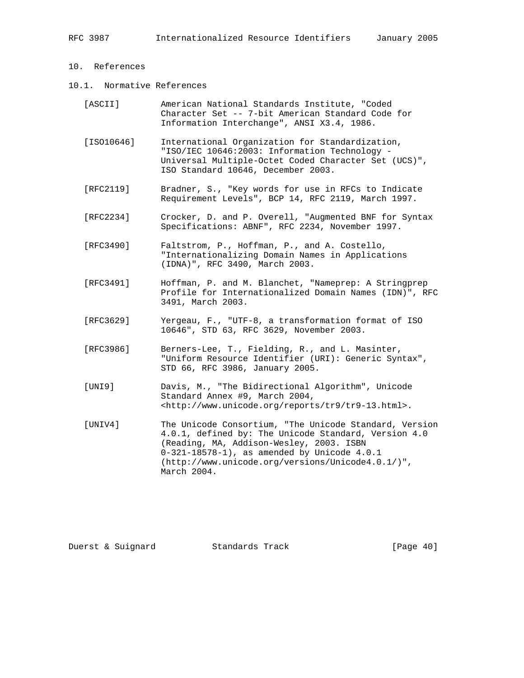# 10. References

10.1. Normative References

| [ASCII] |  |                                            | American National Standards Institute, "Coded     |  |
|---------|--|--------------------------------------------|---------------------------------------------------|--|
|         |  |                                            | Character Set -- 7-bit American Standard Code for |  |
|         |  | Information Interchange", ANSI X3.4, 1986. |                                                   |  |

- [ISO10646] International Organization for Standardization, "ISO/IEC 10646:2003: Information Technology - Universal Multiple-Octet Coded Character Set (UCS)", ISO Standard 10646, December 2003.
- [RFC2119] Bradner, S., "Key words for use in RFCs to Indicate Requirement Levels", BCP 14, RFC 2119, March 1997.
- [RFC2234] Crocker, D. and P. Overell, "Augmented BNF for Syntax Specifications: ABNF", RFC 2234, November 1997.
- [RFC3490] Faltstrom, P., Hoffman, P., and A. Costello, "Internationalizing Domain Names in Applications (IDNA)", RFC 3490, March 2003.
- [RFC3491] Hoffman, P. and M. Blanchet, "Nameprep: A Stringprep Profile for Internationalized Domain Names (IDN)", RFC 3491, March 2003.
- [RFC3629] Yergeau, F., "UTF-8, a transformation format of ISO 10646", STD 63, RFC 3629, November 2003.
- [RFC3986] Berners-Lee, T., Fielding, R., and L. Masinter, "Uniform Resource Identifier (URI): Generic Syntax", STD 66, RFC 3986, January 2005.
- [UNI9] Davis, M., "The Bidirectional Algorithm", Unicode Standard Annex #9, March 2004, <http://www.unicode.org/reports/tr9/tr9-13.html>.
- [UNIV4] The Unicode Consortium, "The Unicode Standard, Version 4.0.1, defined by: The Unicode Standard, Version 4.0 (Reading, MA, Addison-Wesley, 2003. ISBN 0-321-18578-1), as amended by Unicode 4.0.1 (http://www.unicode.org/versions/Unicode4.0.1/)", March 2004.

Duerst & Suignard Standards Track [Page 40]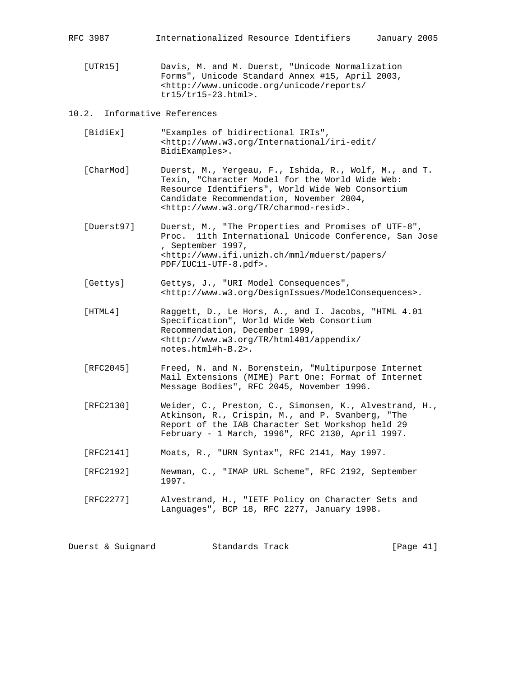[UTR15] Davis, M. and M. Duerst, "Unicode Normalization Forms", Unicode Standard Annex #15, April 2003, <http://www.unicode.org/unicode/reports/ tr15/tr15-23.html>.

# 10.2. Informative References

- [BidiEx] "Examples of bidirectional IRIs", <http://www.w3.org/International/iri-edit/ BidiExamples>.
- [CharMod] Duerst, M., Yergeau, F., Ishida, R., Wolf, M., and T. Texin, "Character Model for the World Wide Web: Resource Identifiers", World Wide Web Consortium Candidate Recommendation, November 2004, <http://www.w3.org/TR/charmod-resid>.
- [Duerst97] Duerst, M., "The Properties and Promises of UTF-8", Proc. 11th International Unicode Conference, San Jose , September 1997, <http://www.ifi.unizh.ch/mml/mduerst/papers/ PDF/IUC11-UTF-8.pdf>.
- [Gettys] Gettys, J., "URI Model Consequences", <http://www.w3.org/DesignIssues/ModelConsequences>.
- [HTML4] Raggett, D., Le Hors, A., and I. Jacobs, "HTML 4.01 Specification", World Wide Web Consortium Recommendation, December 1999, <http://www.w3.org/TR/html401/appendix/ notes.html#h-B.2>.
- [RFC2045] Freed, N. and N. Borenstein, "Multipurpose Internet Mail Extensions (MIME) Part One: Format of Internet Message Bodies", RFC 2045, November 1996.
- [RFC2130] Weider, C., Preston, C., Simonsen, K., Alvestrand, H., Atkinson, R., Crispin, M., and P. Svanberg, "The Report of the IAB Character Set Workshop held 29 February - 1 March, 1996", RFC 2130, April 1997.
- [RFC2141] Moats, R., "URN Syntax", RFC 2141, May 1997.
- [RFC2192] Newman, C., "IMAP URL Scheme", RFC 2192, September 1997.
- [RFC2277] Alvestrand, H., "IETF Policy on Character Sets and Languages", BCP 18, RFC 2277, January 1998.

Duerst & Suignard Standards Track [Page 41]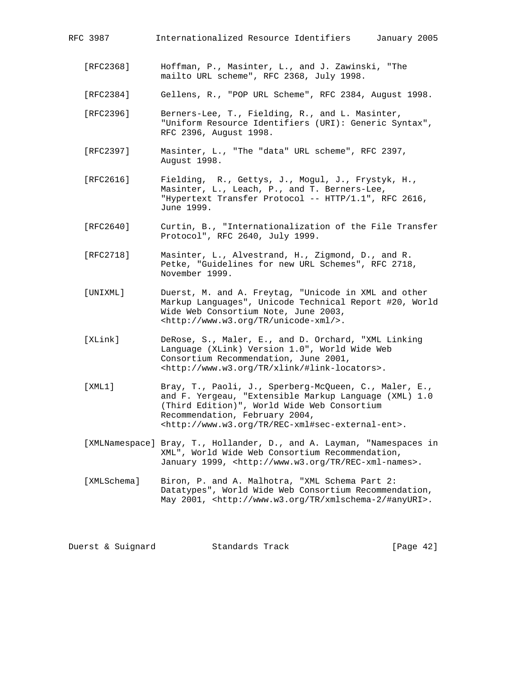- [RFC2368] Hoffman, P., Masinter, L., and J. Zawinski, "The mailto URL scheme", RFC 2368, July 1998.
- [RFC2384] Gellens, R., "POP URL Scheme", RFC 2384, August 1998.
- [RFC2396] Berners-Lee, T., Fielding, R., and L. Masinter, "Uniform Resource Identifiers (URI): Generic Syntax", RFC 2396, August 1998.
- [RFC2397] Masinter, L., "The "data" URL scheme", RFC 2397, August 1998.
- [RFC2616] Fielding, R., Gettys, J., Mogul, J., Frystyk, H., Masinter, L., Leach, P., and T. Berners-Lee, "Hypertext Transfer Protocol -- HTTP/1.1", RFC 2616, June 1999.
- [RFC2640] Curtin, B., "Internationalization of the File Transfer Protocol", RFC 2640, July 1999.
- [RFC2718] Masinter, L., Alvestrand, H., Zigmond, D., and R. Petke, "Guidelines for new URL Schemes", RFC 2718, November 1999.
- [UNIXML] Duerst, M. and A. Freytag, "Unicode in XML and other Markup Languages", Unicode Technical Report #20, World Wide Web Consortium Note, June 2003, <http://www.w3.org/TR/unicode-xml/>.
- [XLink] DeRose, S., Maler, E., and D. Orchard, "XML Linking Language (XLink) Version 1.0", World Wide Web Consortium Recommendation, June 2001, <http://www.w3.org/TR/xlink/#link-locators>.
- [XML1] Bray, T., Paoli, J., Sperberg-McQueen, C., Maler, E., and F. Yergeau, "Extensible Markup Language (XML) 1.0 (Third Edition)", World Wide Web Consortium Recommendation, February 2004, <http://www.w3.org/TR/REC-xml#sec-external-ent>.
- [XMLNamespace] Bray, T., Hollander, D., and A. Layman, "Namespaces in XML", World Wide Web Consortium Recommendation, January 1999, <http://www.w3.org/TR/REC-xml-names>.
- [XMLSchema] Biron, P. and A. Malhotra, "XML Schema Part 2: Datatypes", World Wide Web Consortium Recommendation, May 2001, <http://www.w3.org/TR/xmlschema-2/#anyURI>.

| [Page $42$ ]<br>Duerst & Suignard<br>Standards Track |  |  |  |
|------------------------------------------------------|--|--|--|
|------------------------------------------------------|--|--|--|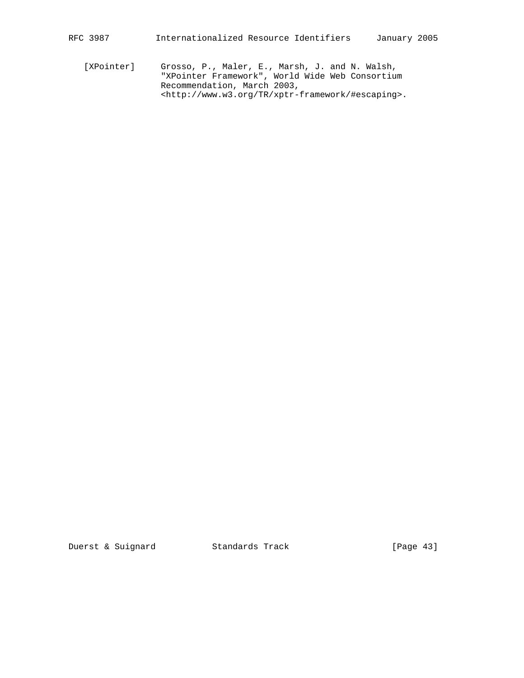[XPointer] Grosso, P., Maler, E., Marsh, J. and N. Walsh, "XPointer Framework", World Wide Web Consortium Recommendation, March 2003, <http://www.w3.org/TR/xptr-framework/#escaping>.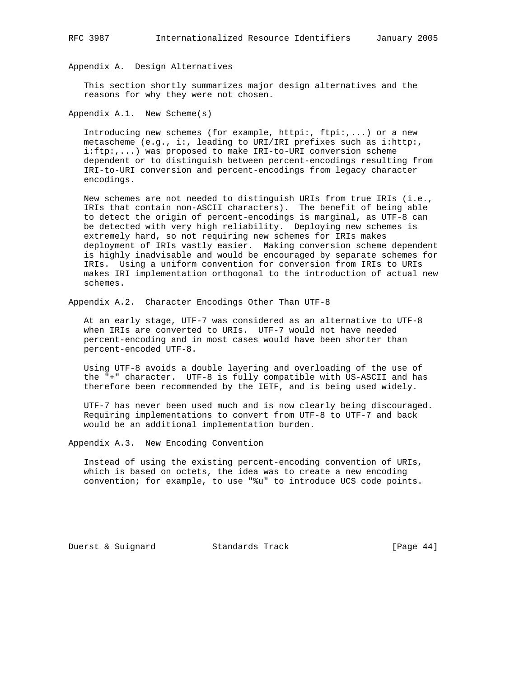Appendix A. Design Alternatives

 This section shortly summarizes major design alternatives and the reasons for why they were not chosen.

Appendix A.1. New Scheme(s)

Introducing new schemes (for example, httpi:,  $ftpi:$ ,...) or a new metascheme (e.g., i:, leading to URI/IRI prefixes such as i:http:, i:ftp:,...) was proposed to make IRI-to-URI conversion scheme dependent or to distinguish between percent-encodings resulting from IRI-to-URI conversion and percent-encodings from legacy character encodings.

 New schemes are not needed to distinguish URIs from true IRIs (i.e., IRIs that contain non-ASCII characters). The benefit of being able to detect the origin of percent-encodings is marginal, as UTF-8 can be detected with very high reliability. Deploying new schemes is extremely hard, so not requiring new schemes for IRIs makes deployment of IRIs vastly easier. Making conversion scheme dependent is highly inadvisable and would be encouraged by separate schemes for IRIs. Using a uniform convention for conversion from IRIs to URIs makes IRI implementation orthogonal to the introduction of actual new schemes.

Appendix A.2. Character Encodings Other Than UTF-8

 At an early stage, UTF-7 was considered as an alternative to UTF-8 when IRIs are converted to URIs. UTF-7 would not have needed percent-encoding and in most cases would have been shorter than percent-encoded UTF-8.

 Using UTF-8 avoids a double layering and overloading of the use of the "+" character. UTF-8 is fully compatible with US-ASCII and has therefore been recommended by the IETF, and is being used widely.

 UTF-7 has never been used much and is now clearly being discouraged. Requiring implementations to convert from UTF-8 to UTF-7 and back would be an additional implementation burden.

Appendix A.3. New Encoding Convention

 Instead of using the existing percent-encoding convention of URIs, which is based on octets, the idea was to create a new encoding convention; for example, to use "%u" to introduce UCS code points.

Duerst & Suignard Standards Track [Page 44]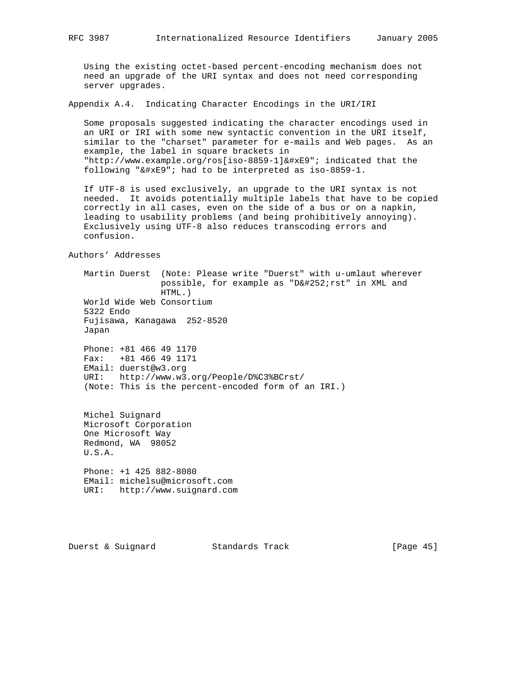Using the existing octet-based percent-encoding mechanism does not need an upgrade of the URI syntax and does not need corresponding server upgrades.

Appendix A.4. Indicating Character Encodings in the URI/IRI

 Some proposals suggested indicating the character encodings used in an URI or IRI with some new syntactic convention in the URI itself, similar to the "charset" parameter for e-mails and Web pages. As an example, the label in square brackets in "http://www.example.org/ros[iso-8859-1]&#xE9"; indicated that the following " $& #xE9$ "; had to be interpreted as iso-8859-1.

 If UTF-8 is used exclusively, an upgrade to the URI syntax is not needed. It avoids potentially multiple labels that have to be copied correctly in all cases, even on the side of a bus or on a napkin, leading to usability problems (and being prohibitively annoying). Exclusively using UTF-8 also reduces transcoding errors and confusion.

Authors' Addresses

 Martin Duerst (Note: Please write "Duerst" with u-umlaut wherever possible, for example as "Dü rst" in XML and HTML.) World Wide Web Consortium 5322 Endo Fujisawa, Kanagawa 252-8520 Japan Phone: +81 466 49 1170 Fax: +81 466 49 1171 EMail: duerst@w3.org URI: http://www.w3.org/People/D%C3%BCrst/ (Note: This is the percent-encoded form of an IRI.)

 Michel Suignard Microsoft Corporation One Microsoft Way Redmond, WA 98052 U.S.A. Phone: +1 425 882-8080

 EMail: michelsu@microsoft.com URI: http://www.suignard.com